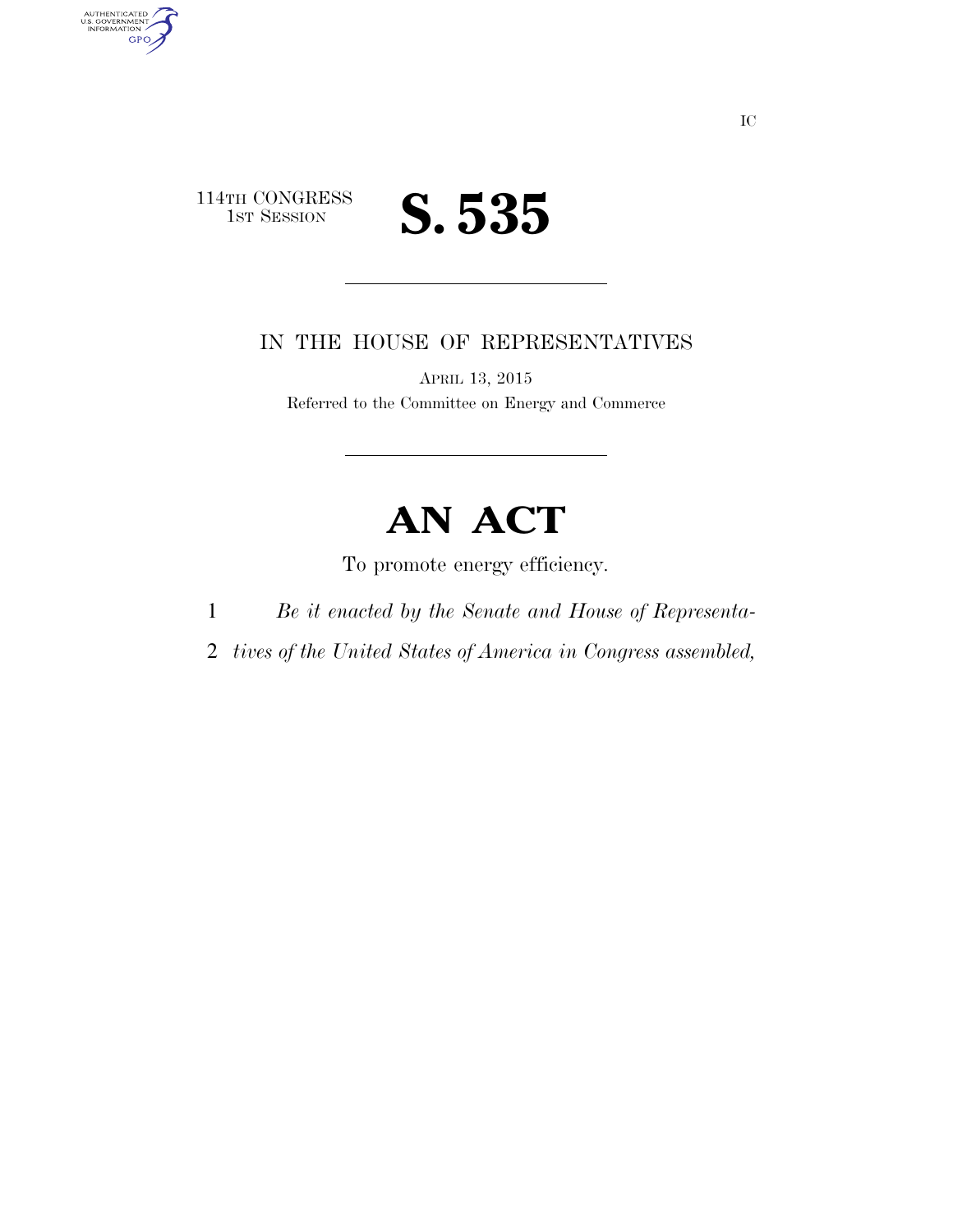

AUTHENTICATED<br>U.S. GOVERNMENT<br>INFORMATION

**GPO** 

### IN THE HOUSE OF REPRESENTATIVES

APRIL 13, 2015 Referred to the Committee on Energy and Commerce

# **AN ACT**

To promote energy efficiency.

- 1 *Be it enacted by the Senate and House of Representa-*
- 2 *tives of the United States of America in Congress assembled,*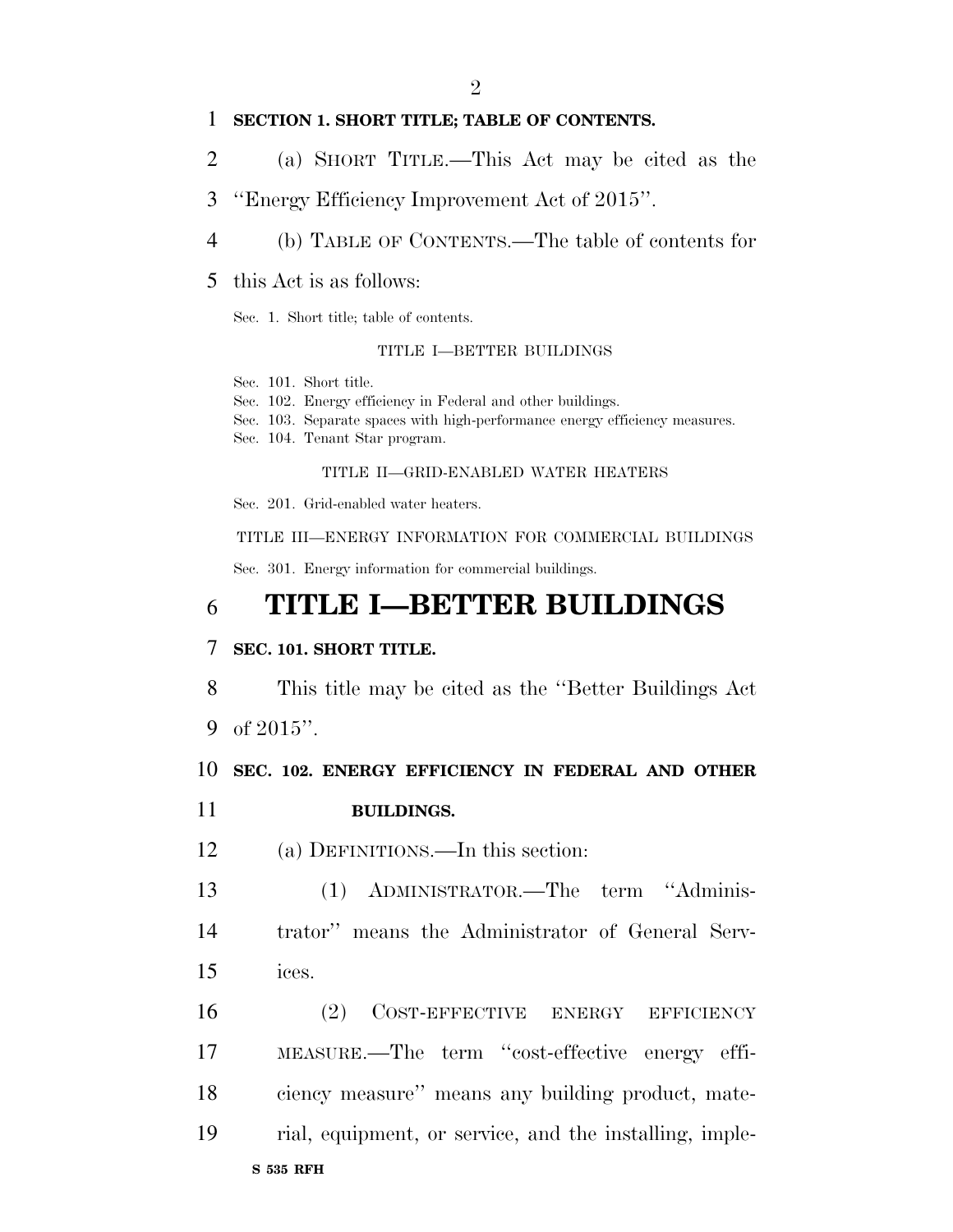#### **SECTION 1. SHORT TITLE; TABLE OF CONTENTS.**

- (a) SHORT TITLE.—This Act may be cited as the
- ''Energy Efficiency Improvement Act of 2015''.
- (b) TABLE OF CONTENTS.—The table of contents for
- this Act is as follows:

Sec. 1. Short title; table of contents.

#### TITLE I—BETTER BUILDINGS

Sec. 101. Short title.

- Sec. 102. Energy efficiency in Federal and other buildings.
- Sec. 103. Separate spaces with high-performance energy efficiency measures.
- Sec. 104. Tenant Star program.

#### TITLE II—GRID-ENABLED WATER HEATERS

Sec. 201. Grid-enabled water heaters.

TITLE III—ENERGY INFORMATION FOR COMMERCIAL BUILDINGS

Sec. 301. Energy information for commercial buildings.

## **TITLE I—BETTER BUILDINGS**

#### **SEC. 101. SHORT TITLE.**

This title may be cited as the ''Better Buildings Act

of 2015''.

### **SEC. 102. ENERGY EFFICIENCY IN FEDERAL AND OTHER**

- **BUILDINGS.**
- (a) DEFINITIONS.—In this section:

 (1) ADMINISTRATOR.—The term ''Adminis- trator'' means the Administrator of General Serv-ices.

**S 535 RFH** (2) COST-EFFECTIVE ENERGY EFFICIENCY MEASURE.—The term ''cost-effective energy effi- ciency measure'' means any building product, mate-rial, equipment, or service, and the installing, imple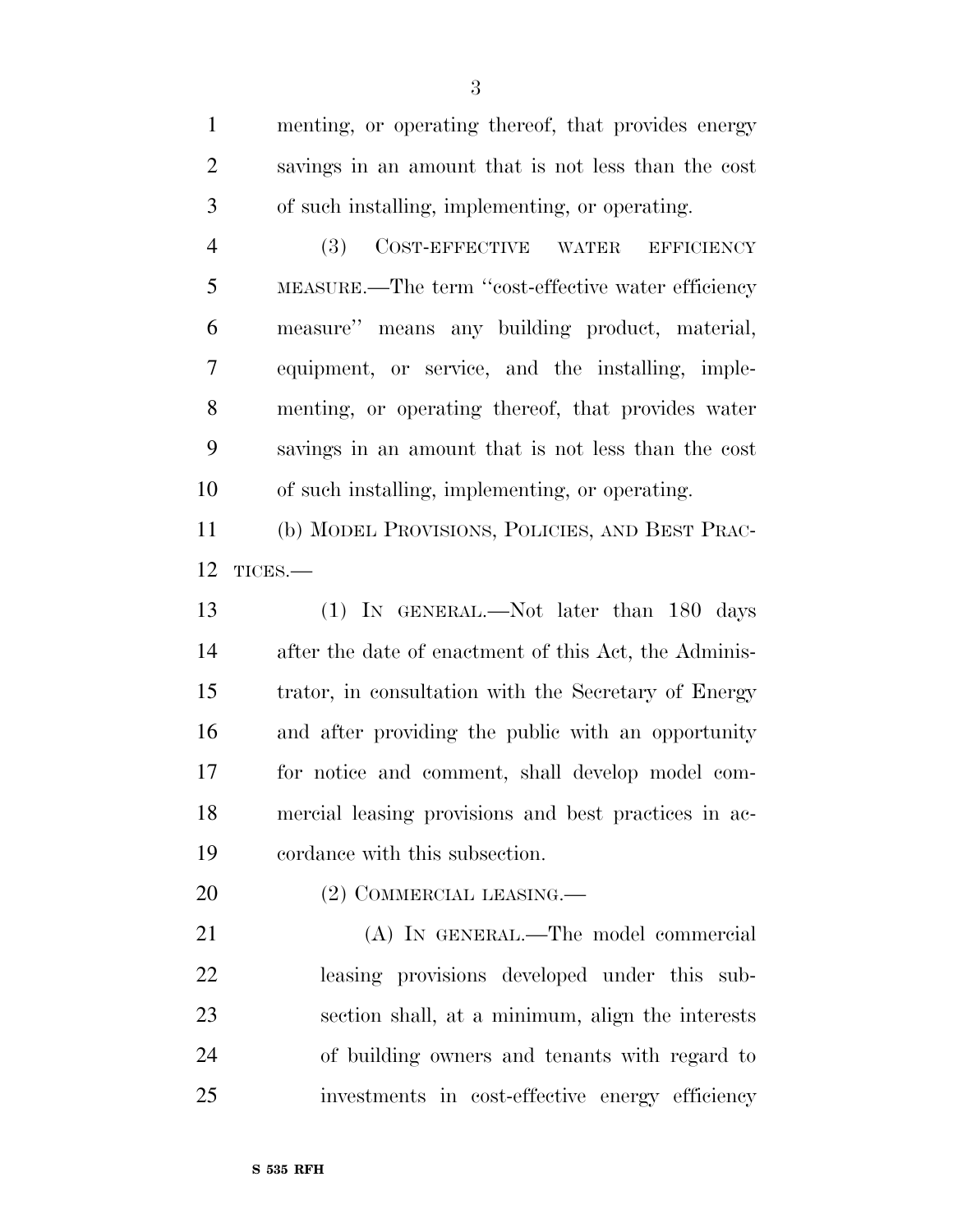menting, or operating thereof, that provides energy savings in an amount that is not less than the cost of such installing, implementing, or operating.

 (3) COST-EFFECTIVE WATER EFFICIENCY MEASURE.—The term ''cost-effective water efficiency measure'' means any building product, material, equipment, or service, and the installing, imple- menting, or operating thereof, that provides water savings in an amount that is not less than the cost of such installing, implementing, or operating.

 (b) MODEL PROVISIONS, POLICIES, AND BEST PRAC-TICES.—

 (1) IN GENERAL.—Not later than 180 days after the date of enactment of this Act, the Adminis- trator, in consultation with the Secretary of Energy and after providing the public with an opportunity for notice and comment, shall develop model com- mercial leasing provisions and best practices in ac-cordance with this subsection.

20 (2) COMMERCIAL LEASING.—

 (A) IN GENERAL.—The model commercial leasing provisions developed under this sub- section shall, at a minimum, align the interests of building owners and tenants with regard to investments in cost-effective energy efficiency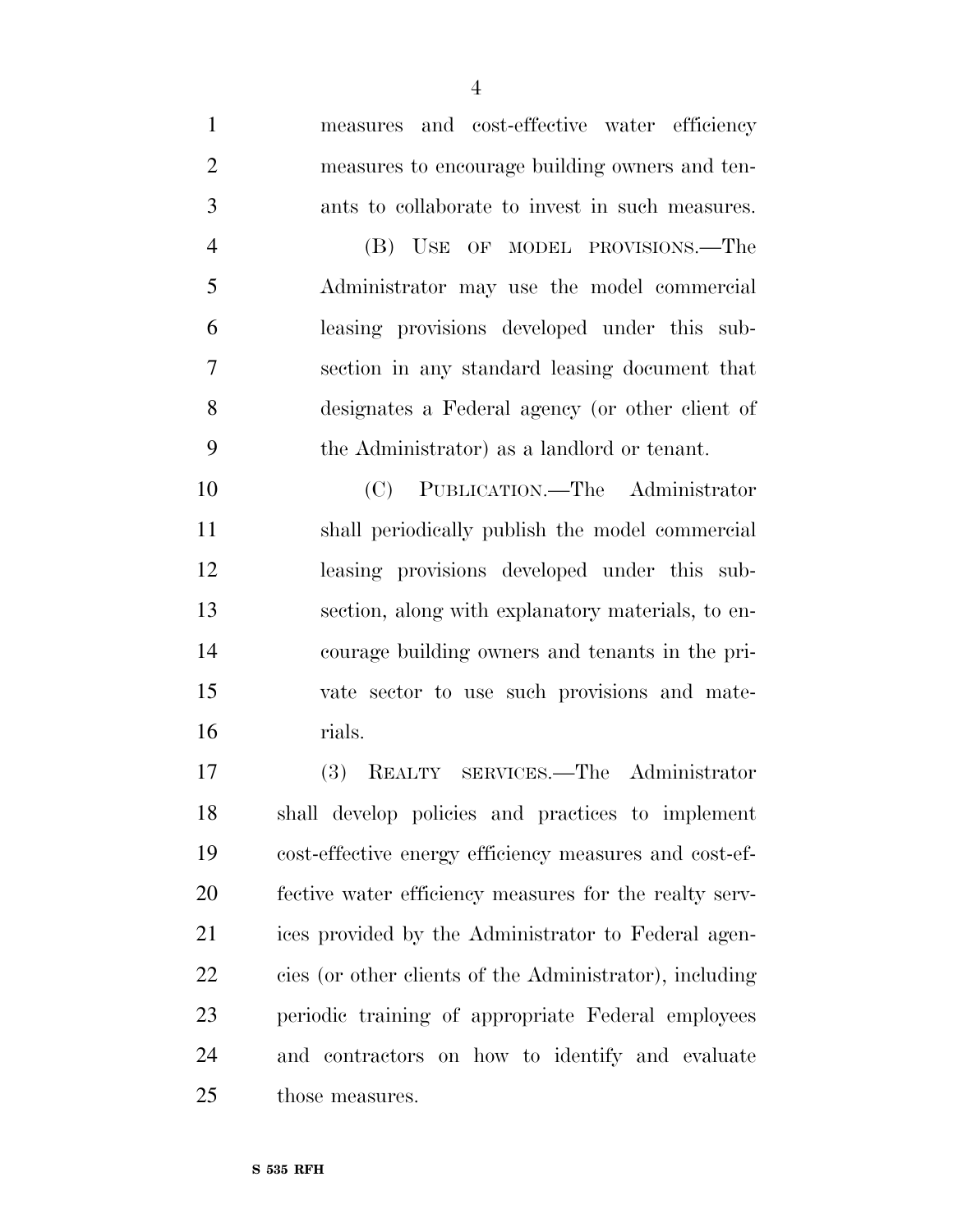measures and cost-effective water efficiency measures to encourage building owners and ten-ants to collaborate to invest in such measures.

 (B) USE OF MODEL PROVISIONS.—The Administrator may use the model commercial leasing provisions developed under this sub- section in any standard leasing document that designates a Federal agency (or other client of the Administrator) as a landlord or tenant.

 (C) PUBLICATION.—The Administrator shall periodically publish the model commercial leasing provisions developed under this sub- section, along with explanatory materials, to en- courage building owners and tenants in the pri- vate sector to use such provisions and mate-rials.

 (3) REALTY SERVICES.—The Administrator shall develop policies and practices to implement cost-effective energy efficiency measures and cost-ef- fective water efficiency measures for the realty serv- ices provided by the Administrator to Federal agen- cies (or other clients of the Administrator), including periodic training of appropriate Federal employees and contractors on how to identify and evaluate those measures.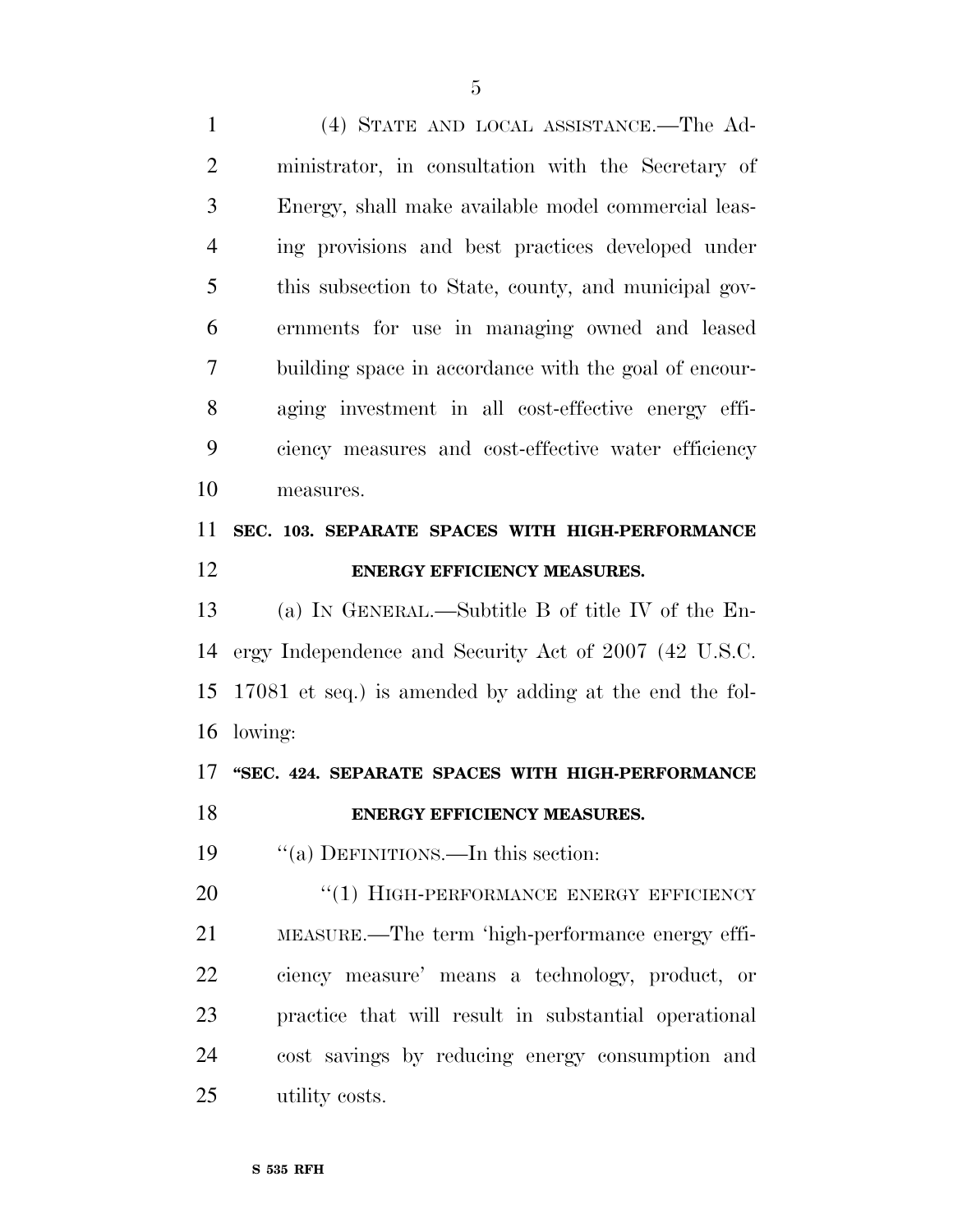(4) STATE AND LOCAL ASSISTANCE.—The Ad- ministrator, in consultation with the Secretary of Energy, shall make available model commercial leas- ing provisions and best practices developed under this subsection to State, county, and municipal gov- ernments for use in managing owned and leased building space in accordance with the goal of encour- aging investment in all cost-effective energy effi- ciency measures and cost-effective water efficiency measures.

# **SEC. 103. SEPARATE SPACES WITH HIGH-PERFORMANCE ENERGY EFFICIENCY MEASURES.**

 (a) IN GENERAL.—Subtitle B of title IV of the En- ergy Independence and Security Act of 2007 (42 U.S.C. 17081 et seq.) is amended by adding at the end the fol-lowing:

# **''SEC. 424. SEPARATE SPACES WITH HIGH-PERFORMANCE**

## **ENERGY EFFICIENCY MEASURES.**

19 "(a) DEFINITIONS.—In this section:

20 "(1) HIGH-PERFORMANCE ENERGY EFFICIENCY MEASURE.—The term 'high-performance energy effi- ciency measure' means a technology, product, or practice that will result in substantial operational cost savings by reducing energy consumption and utility costs.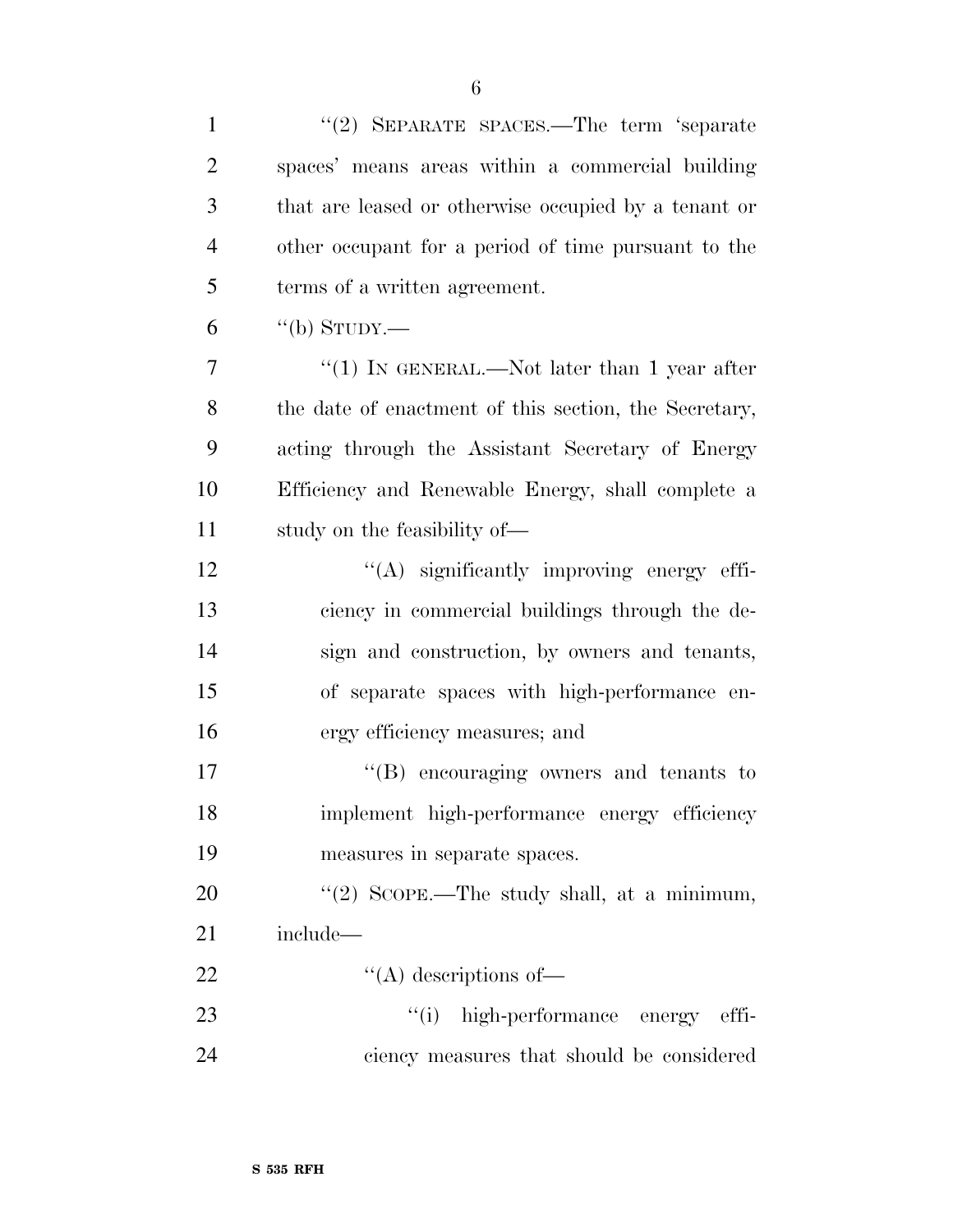| $\mathbf{1}$   | "(2) SEPARATE SPACES.—The term 'separate              |
|----------------|-------------------------------------------------------|
| $\overline{2}$ | spaces' means areas within a commercial building      |
| 3              | that are leased or otherwise occupied by a tenant or  |
| $\overline{4}$ | other occupant for a period of time pursuant to the   |
| 5              | terms of a written agreement.                         |
| 6              | "(b) STUDY.—                                          |
| 7              | "(1) IN GENERAL.—Not later than 1 year after          |
| 8              | the date of enactment of this section, the Secretary, |
| 9              | acting through the Assistant Secretary of Energy      |
| 10             | Efficiency and Renewable Energy, shall complete a     |
| 11             | study on the feasibility of—                          |
| 12             | "(A) significantly improving energy effi-             |
| 13             | ciency in commercial buildings through the de-        |
| 14             | sign and construction, by owners and tenants,         |
| 15             | of separate spaces with high-performance en-          |
| 16             | ergy efficiency measures; and                         |
| 17             | "(B) encouraging owners and tenants to                |
| 18             | implement high-performance energy efficiency          |
| 19             | measures in separate spaces.                          |
| 20             | "(2) SCOPE.—The study shall, at a minimum,            |
| 21             | include—                                              |
| 22             | $\lq\lq$ descriptions of —                            |
| 23             | "(i) high-performance energy effi-                    |
| 24             | ciency measures that should be considered             |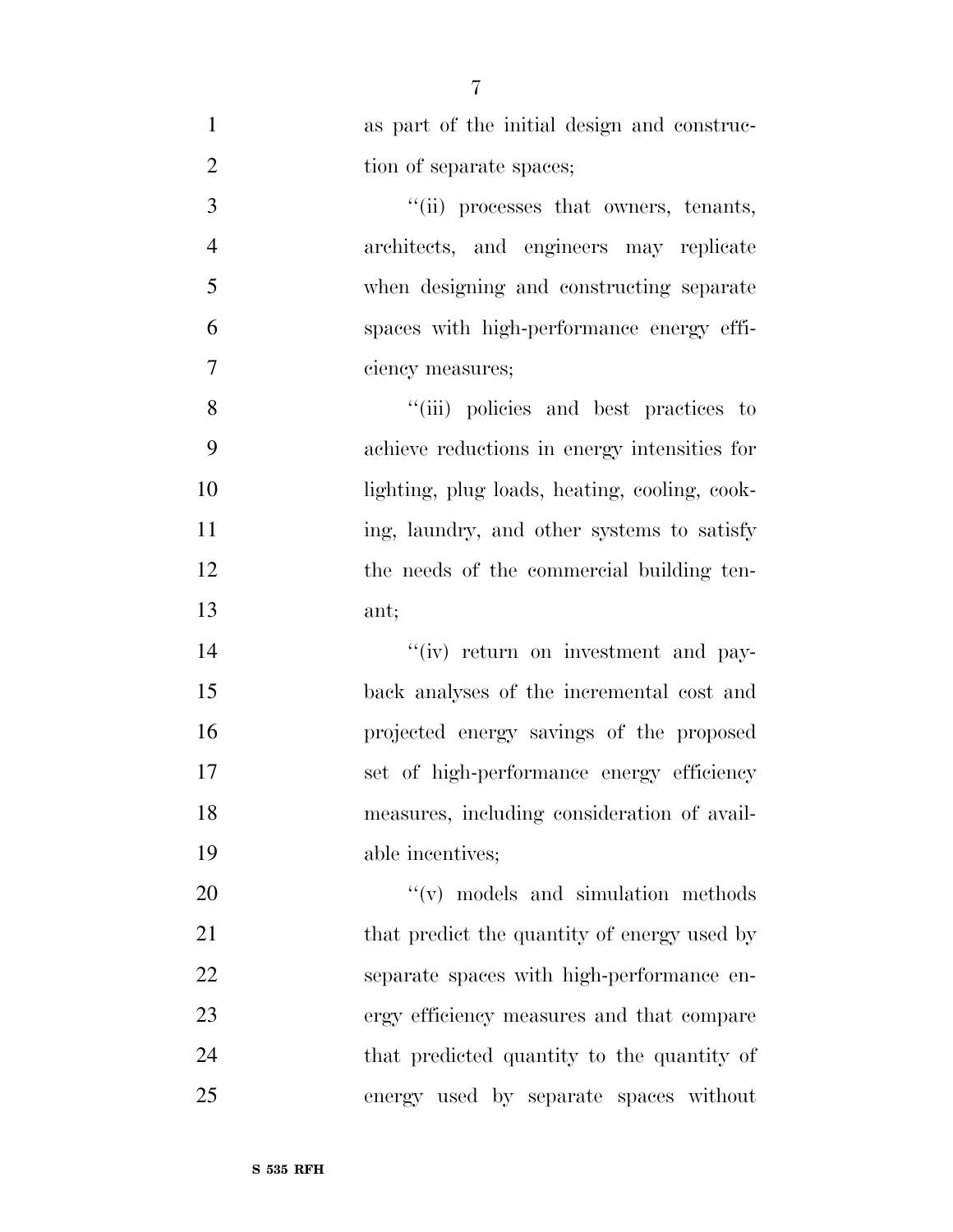| $\mathbf{1}$   | as part of the initial design and construc-   |
|----------------|-----------------------------------------------|
| $\overline{2}$ | tion of separate spaces;                      |
| 3              | "(ii) processes that owners, tenants,         |
| $\overline{4}$ | architects, and engineers may replicate       |
| 5              | when designing and constructing separate      |
| 6              | spaces with high-performance energy effi-     |
| $\overline{7}$ | ciency measures;                              |
| 8              | "(iii) policies and best practices to         |
| 9              | achieve reductions in energy intensities for  |
| 10             | lighting, plug loads, heating, cooling, cook- |
| 11             | ing, laundry, and other systems to satisfy    |
| 12             | the needs of the commercial building ten-     |
| 13             | ant;                                          |
| 14             | "(iv) return on investment and pay-           |
| 15             | back analyses of the incremental cost and     |
| 16             | projected energy savings of the proposed      |
| 17             | set of high-performance energy efficiency     |
| 18             | measures, including consideration of avail-   |
| 19             | able incentives;                              |
| 20             | "(v) models and simulation methods"           |
| 21             | that predict the quantity of energy used by   |
| 22             | separate spaces with high-performance en-     |
| 23             | ergy efficiency measures and that compare     |
| 24             | that predicted quantity to the quantity of    |
| 25             | energy used by separate spaces without        |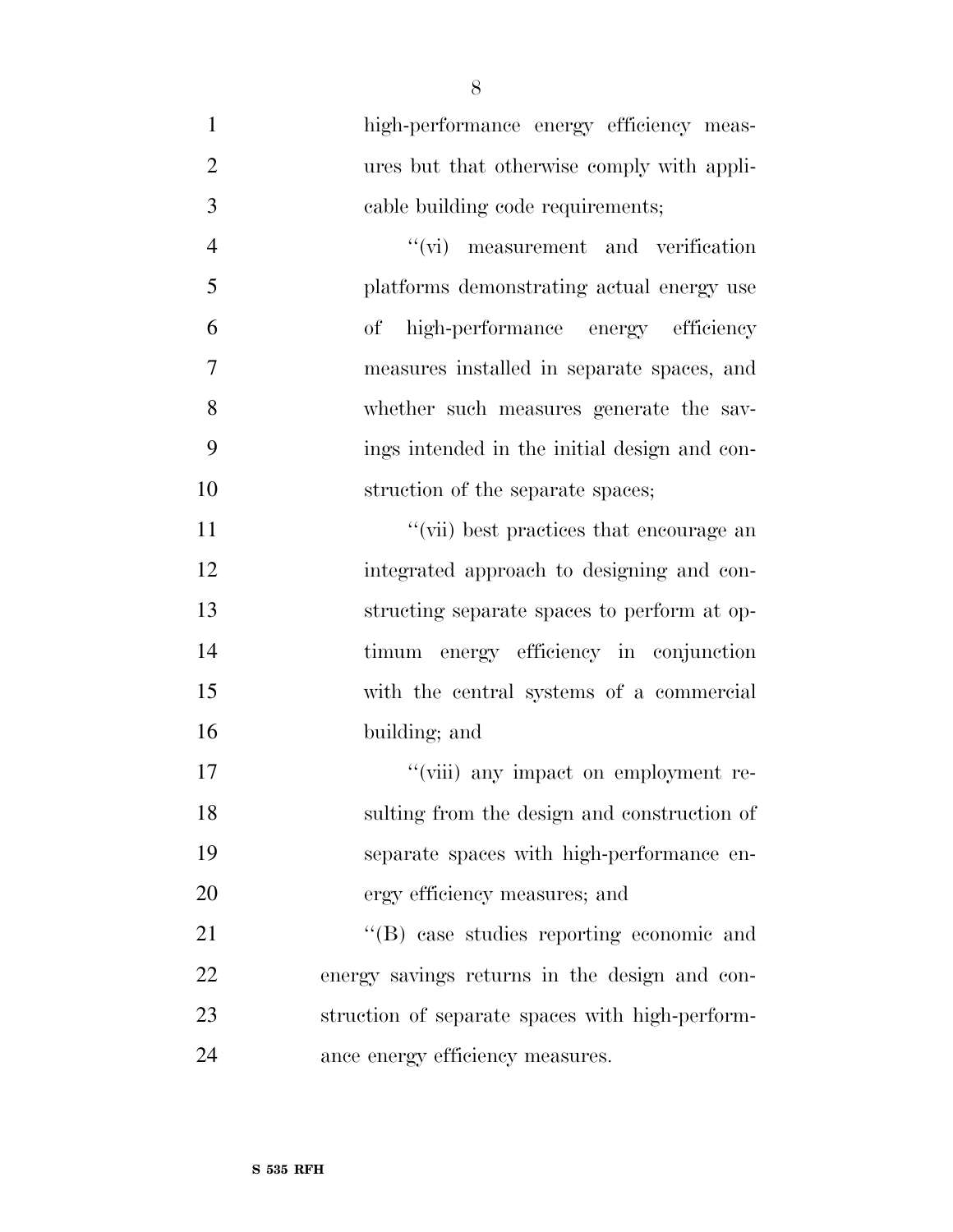1 high-performance energy efficiency meas- ures but that otherwise comply with appli- cable building code requirements; ''(vi) measurement and verification platforms demonstrating actual energy use of high-performance energy efficiency measures installed in separate spaces, and whether such measures generate the sav- ings intended in the initial design and con-10 struction of the separate spaces; 11 ''(vii) best practices that encourage an integrated approach to designing and con- structing separate spaces to perform at op- timum energy efficiency in conjunction with the central systems of a commercial building; and  $''$ (viii) any impact on employment re- sulting from the design and construction of separate spaces with high-performance en- ergy efficiency measures; and 21 ''(B) case studies reporting economic and energy savings returns in the design and con- struction of separate spaces with high-perform-ance energy efficiency measures.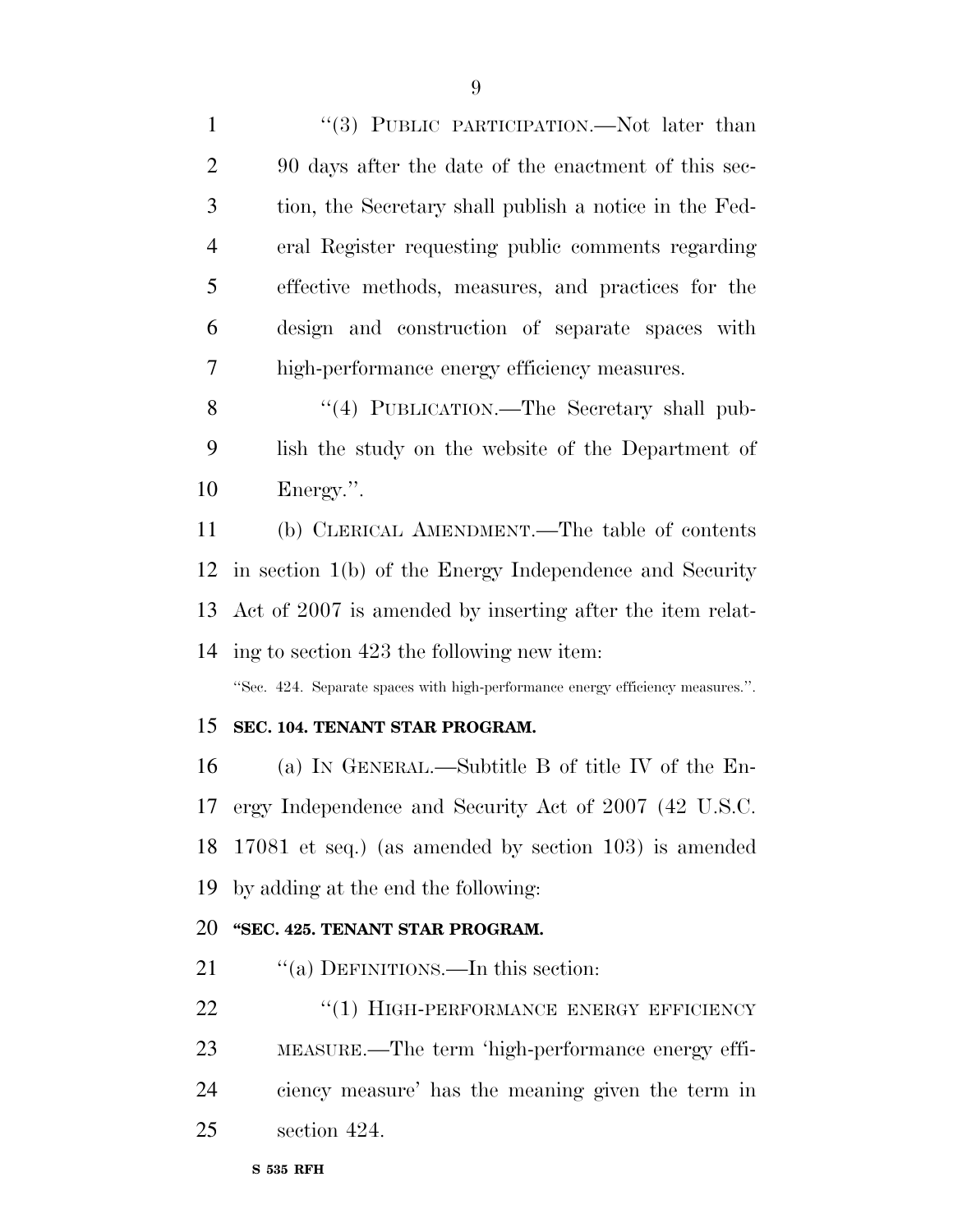1 "(3) PUBLIC PARTICIPATION.—Not later than 90 days after the date of the enactment of this sec- tion, the Secretary shall publish a notice in the Fed- eral Register requesting public comments regarding effective methods, measures, and practices for the design and construction of separate spaces with high-performance energy efficiency measures.

8 "(4) PUBLICATION.—The Secretary shall pub- lish the study on the website of the Department of Energy.''.

 (b) CLERICAL AMENDMENT.—The table of contents in section 1(b) of the Energy Independence and Security Act of 2007 is amended by inserting after the item relat-ing to section 423 the following new item:

''Sec. 424. Separate spaces with high-performance energy efficiency measures.''.

#### **SEC. 104. TENANT STAR PROGRAM.**

 (a) IN GENERAL.—Subtitle B of title IV of the En- ergy Independence and Security Act of 2007 (42 U.S.C. 17081 et seq.) (as amended by section 103) is amended by adding at the end the following:

#### **''SEC. 425. TENANT STAR PROGRAM.**

21 "(a) DEFINITIONS.—In this section:

22 "(1) HIGH-PERFORMANCE ENERGY EFFICIENCY MEASURE.—The term 'high-performance energy effi- ciency measure' has the meaning given the term in section 424.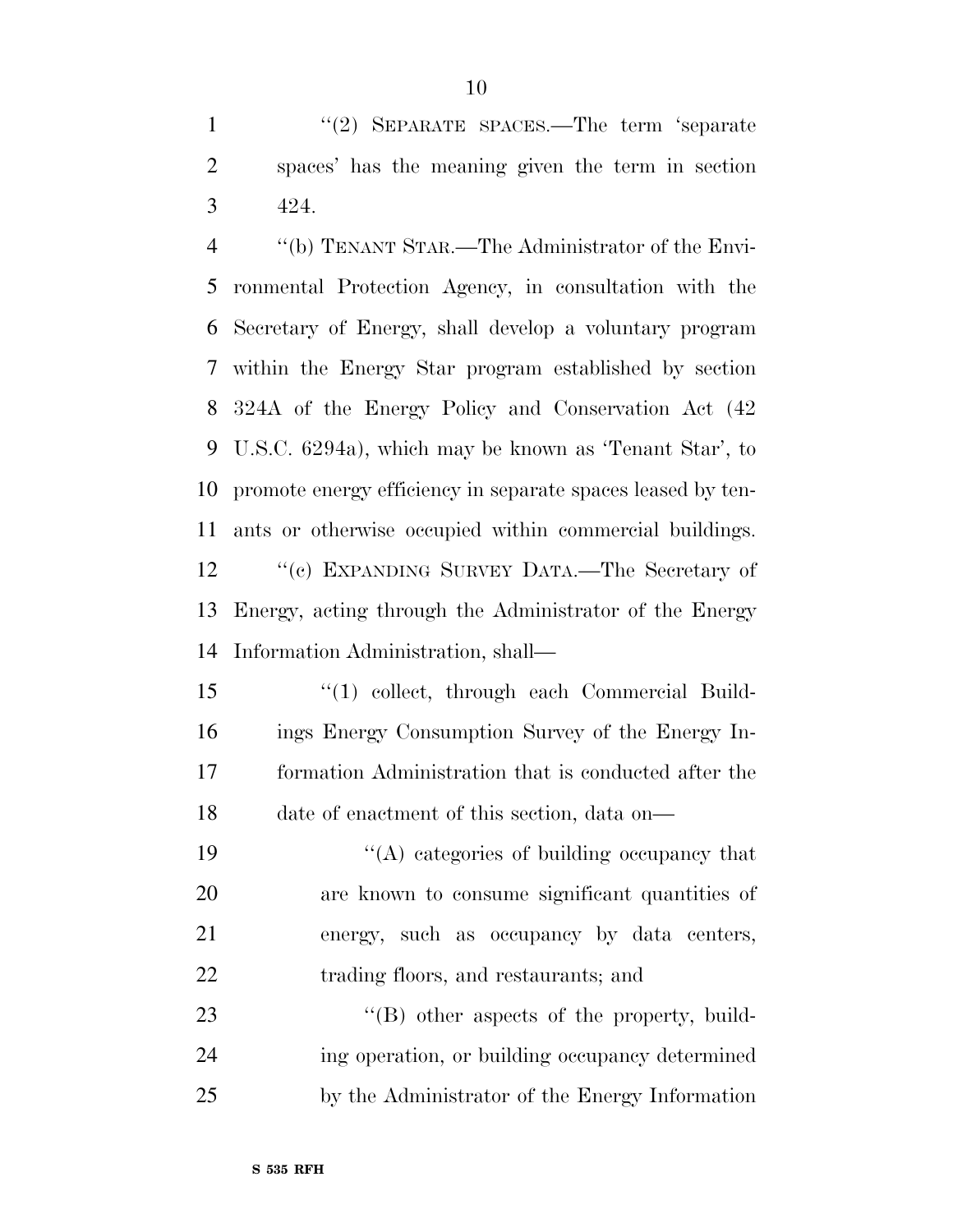1 "(2) SEPARATE SPACES.—The term 'separate spaces' has the meaning given the term in section 424.

 ''(b) TENANT STAR.—The Administrator of the Envi- ronmental Protection Agency, in consultation with the Secretary of Energy, shall develop a voluntary program within the Energy Star program established by section 324A of the Energy Policy and Conservation Act (42 U.S.C. 6294a), which may be known as 'Tenant Star', to promote energy efficiency in separate spaces leased by ten-ants or otherwise occupied within commercial buildings.

12 "(c) EXPANDING SURVEY DATA.—The Secretary of Energy, acting through the Administrator of the Energy Information Administration, shall—

- ''(1) collect, through each Commercial Build- ings Energy Consumption Survey of the Energy In- formation Administration that is conducted after the date of enactment of this section, data on—
- 19  $\langle (A) \rangle$  categories of building occupancy that are known to consume significant quantities of energy, such as occupancy by data centers, 22 trading floors, and restaurants; and

23 "'(B) other aspects of the property, build- ing operation, or building occupancy determined by the Administrator of the Energy Information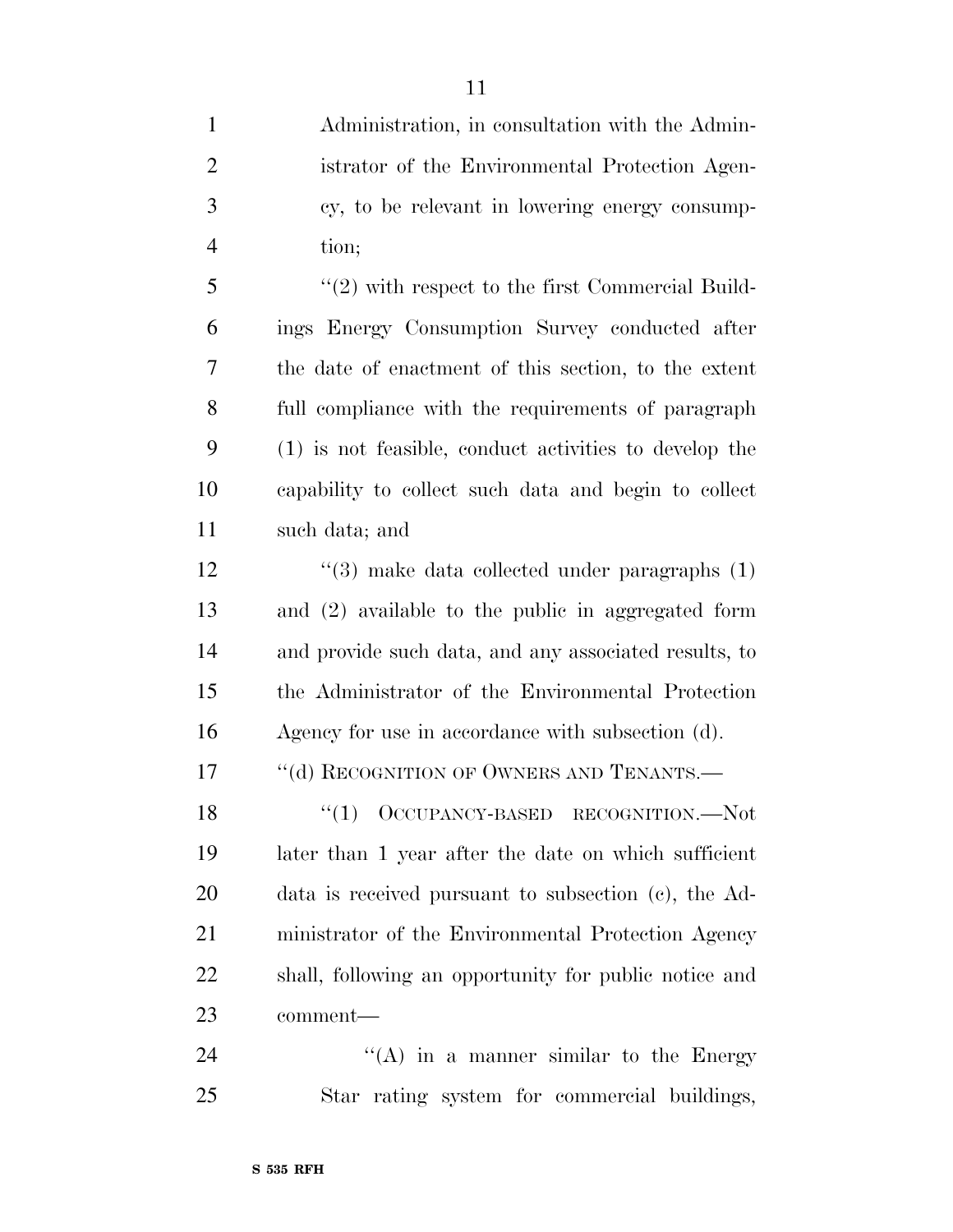| $\mathbf{1}$   | Administration, in consultation with the Admin-        |
|----------------|--------------------------------------------------------|
| $\overline{2}$ | istrator of the Environmental Protection Agen-         |
| 3              | cy, to be relevant in lowering energy consump-         |
| $\overline{4}$ | tion;                                                  |
| 5              | $\lq(2)$ with respect to the first Commercial Build-   |
| 6              | ings Energy Consumption Survey conducted after         |
| 7              | the date of enactment of this section, to the extent   |
| 8              | full compliance with the requirements of paragraph     |
| 9              | (1) is not feasible, conduct activities to develop the |
| 10             | capability to collect such data and begin to collect   |
| 11             | such data; and                                         |
| 12             | $\lq(3)$ make data collected under paragraphs $(1)$    |
| 13             | and (2) available to the public in aggregated form     |
| 14             | and provide such data, and any associated results, to  |
| 15             | the Administrator of the Environmental Protection      |
| 16             | Agency for use in accordance with subsection (d).      |
| 17             | "(d) RECOGNITION OF OWNERS AND TENANTS.—               |
| 18             | "(1) OCCUPANCY-BASED RECOGNITION.-Not                  |
| 19             | later than 1 year after the date on which sufficient   |
| <b>20</b>      | data is received pursuant to subsection (c), the Ad-   |
| 21             | ministrator of the Environmental Protection Agency     |
| 22             | shall, following an opportunity for public notice and  |
| 23             | comment—                                               |
| 24             | $\lq\lq$ in a manner similar to the Energy             |

Star rating system for commercial buildings,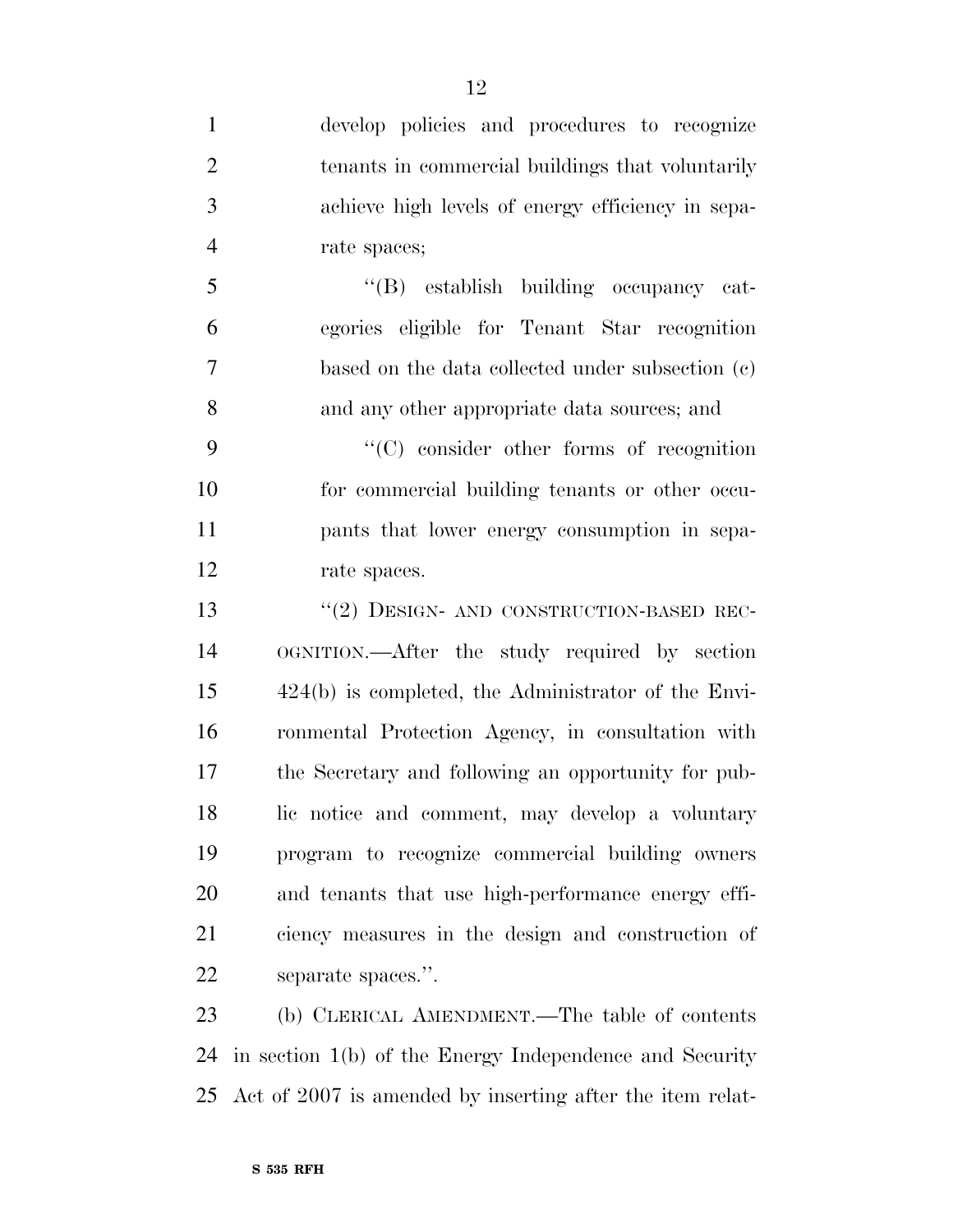| $\mathbf{1}$   | develop policies and procedures to recognize          |
|----------------|-------------------------------------------------------|
| $\overline{2}$ | tenants in commercial buildings that voluntarily      |
| 3              | achieve high levels of energy efficiency in sepa-     |
| $\overline{4}$ | rate spaces;                                          |
| 5              | "(B) establish building occupancy cat-                |
| 6              | egories eligible for Tenant Star recognition          |
| 7              | based on the data collected under subsection (c)      |
| 8              | and any other appropriate data sources; and           |
| 9              | $\cdot$ (C) consider other forms of recognition       |
| 10             | for commercial building tenants or other occu-        |
| 11             | pants that lower energy consumption in sepa-          |
| 12             | rate spaces.                                          |
| 13             | $``(2)$ DESIGN- AND CONSTRUCTION-BASED REC-           |
| 14             | OGNITION.—After the study required by section         |
| 15             | $424(b)$ is completed, the Administrator of the Envi- |
| 16             | ronmental Protection Agency, in consultation with     |
| 17             | the Secretary and following an opportunity for pub-   |
| 18             | lic notice and comment, may develop a voluntary       |
| 19             | program to recognize commercial building owners       |
| 20             | and tenants that use high-performance energy effi-    |
| 21             | ciency measures in the design and construction of     |
| 22             | separate spaces.".                                    |
|                |                                                       |

 (b) CLERICAL AMENDMENT.—The table of contents in section 1(b) of the Energy Independence and Security Act of 2007 is amended by inserting after the item relat-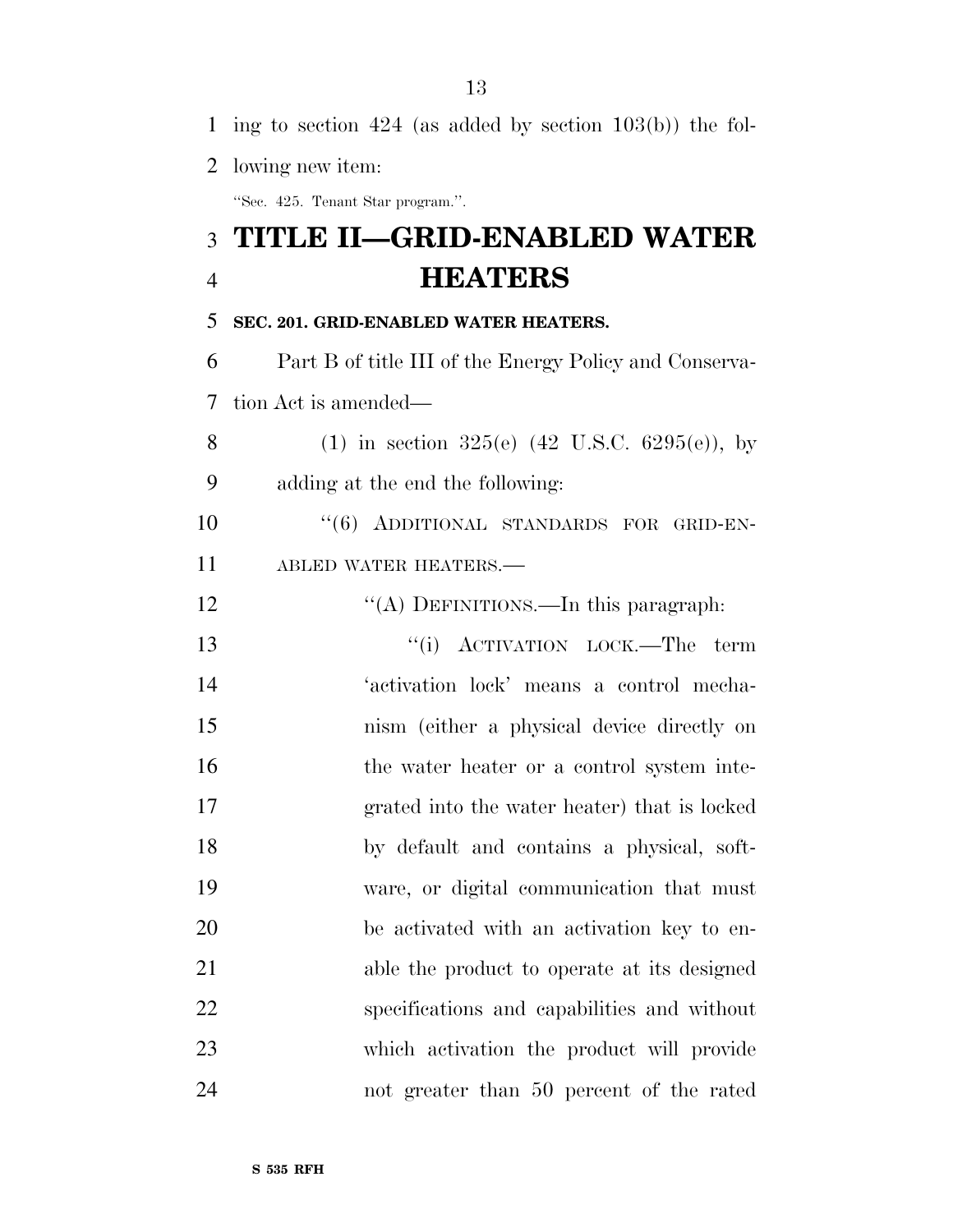| 2              | lowing new item:                                          |
|----------------|-----------------------------------------------------------|
|                | "Sec. 425. Tenant Star program.".                         |
|                | 3 TITLE II–GRID-ENABLED WATER                             |
| $\overline{4}$ | <b>HEATERS</b>                                            |
| 5              | SEC. 201. GRID-ENABLED WATER HEATERS.                     |
| 6              | Part B of title III of the Energy Policy and Conserva-    |
| 7              | tion Act is amended—                                      |
| 8              | (1) in section 325(e) $(42 \text{ U.S.C. } 6295(e))$ , by |
| 9              | adding at the end the following:                          |
| 10             | "(6) ADDITIONAL STANDARDS FOR GRID-EN-                    |
| 11             | ABLED WATER HEATERS.-                                     |
| 12             | "(A) DEFINITIONS.—In this paragraph:                      |
| 13             | "(i) ACTIVATION LOCK.—The<br>term                         |
| 14             | 'activation lock' means a control mecha-                  |
| 15             | nism (either a physical device directly on                |
| 16             | the water heater or a control system inte-                |
| 17             | grated into the water heater) that is locked              |
| 18             | by default and contains a physical, soft-                 |
| 19             | ware, or digital communication that must                  |
| 20             | be activated with an activation key to en-                |
| 21             | able the product to operate at its designed               |
| 22             | specifications and capabilities and without               |
| 23             | which activation the product will provide                 |
| 24             | not greater than 50 percent of the rated                  |

ing to section 424 (as added by section 103(b)) the fol-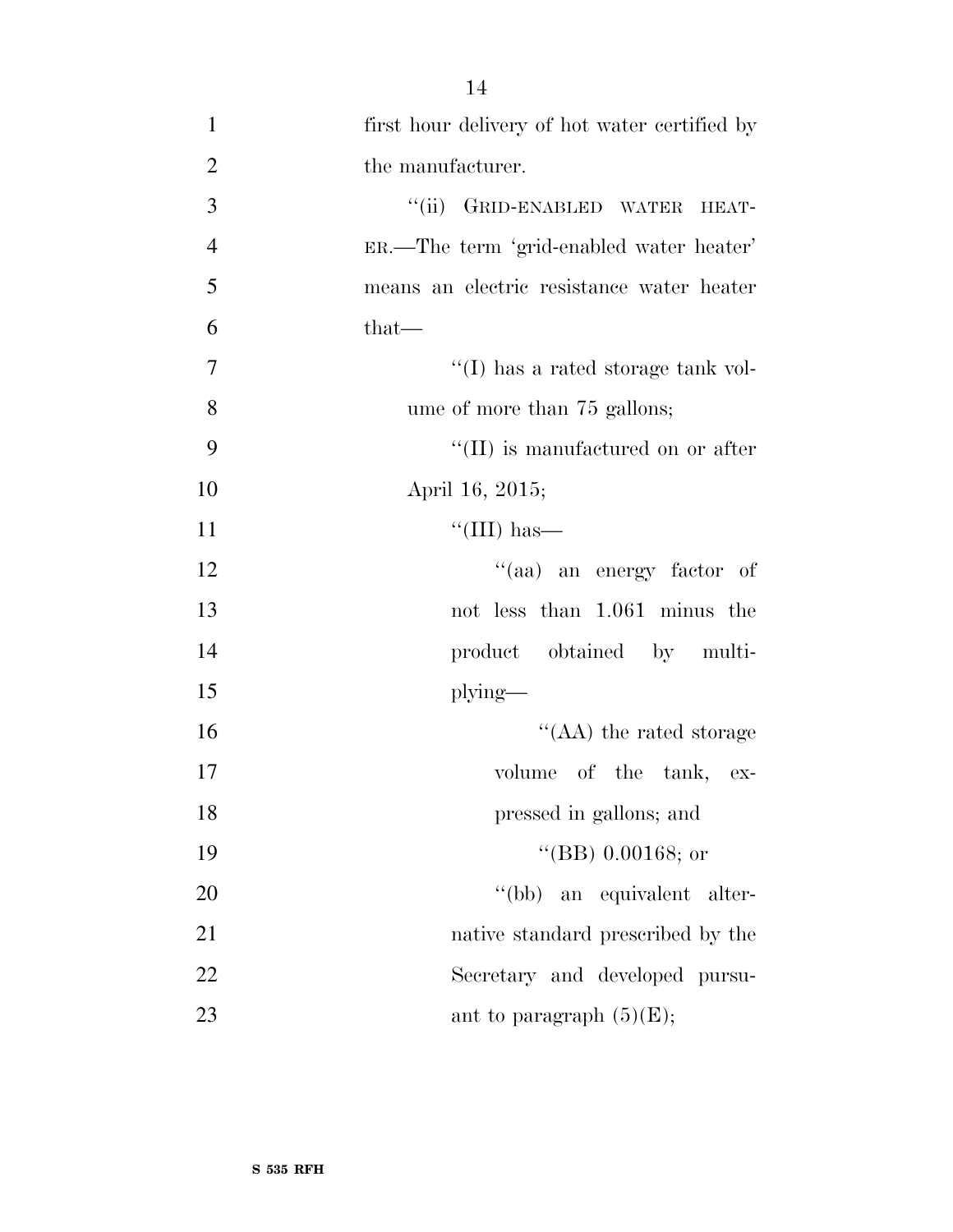1 first hour delivery of hot water certified by 2 the manufacturer. 3 "(ii) GRID-ENABLED WATER HEAT-4 ER.—The term 'grid-enabled water heater' 5 means an electric resistance water heater  $6$  that— 7  $''(I)$  has a rated storage tank vol-8 ume of more than 75 gallons; 9  $\frac{1}{2}$  (II) is manufactured on or after 10 April 16, 2015;  $\frac{11}{\text{11}}$  ''(III) has— 12 ''(aa) an energy factor of 13 not less than 1.061 minus the 14 product obtained by multi-15 plying— 16 ''(AA) the rated storage 17 volume of the tank, ex-18 pressed in gallons; and 19 ''(BB) 0.00168; or 20  $''(bb)$  an equivalent alter-21 native standard prescribed by the 22 Secretary and developed pursu-23 ant to paragraph  $(5)(E)$ ;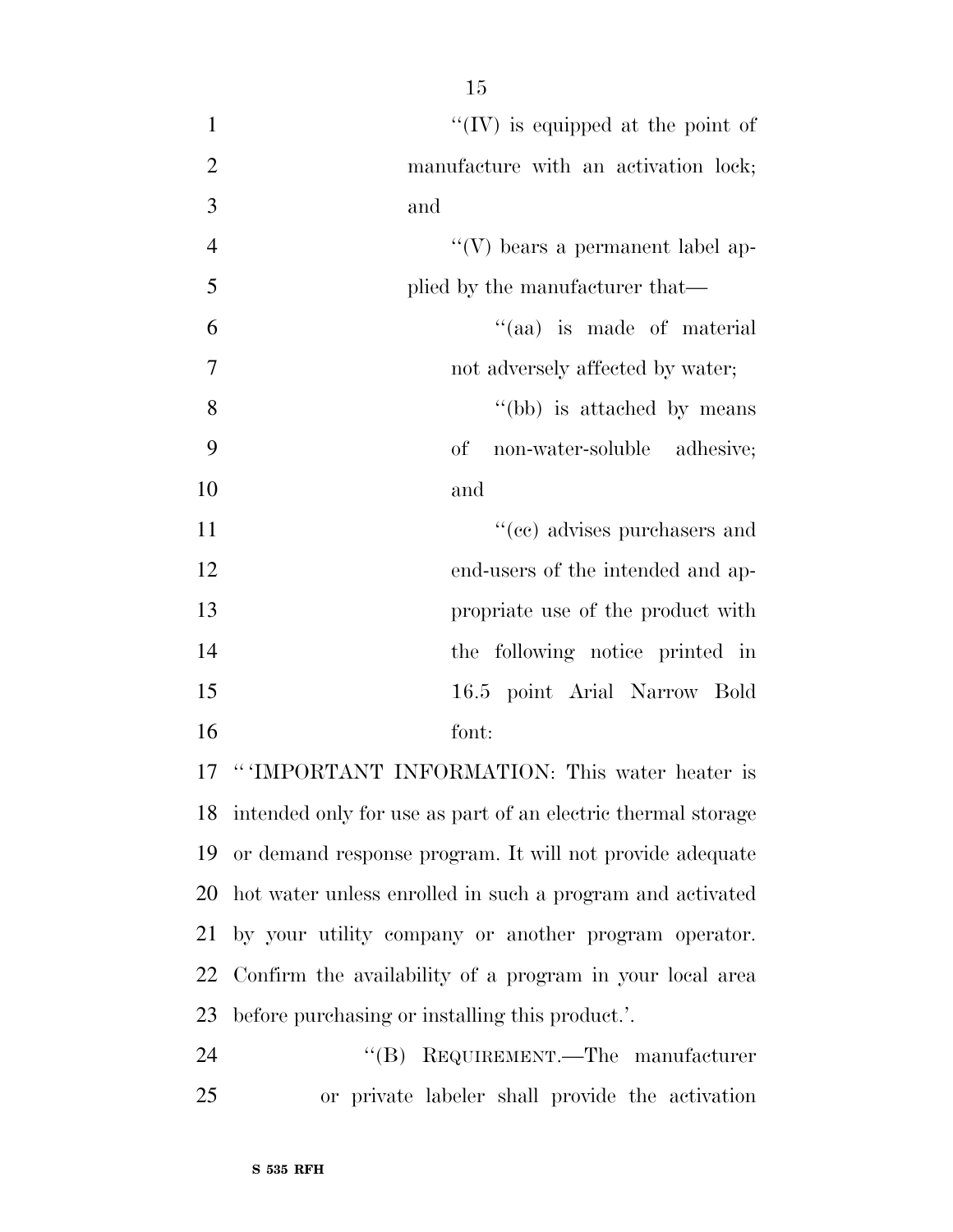| $\mathbf{1}$   | "(IV) is equipped at the point of                               |
|----------------|-----------------------------------------------------------------|
| $\mathbf{2}$   | manufacture with an activation lock;                            |
| $\overline{3}$ | and                                                             |
| $\overline{4}$ | "(V) bears a permanent label ap-                                |
| 5              | plied by the manufacturer that—                                 |
| 6              | "(aa) is made of material                                       |
| $\overline{7}$ | not adversely affected by water;                                |
| 8              | "(bb) is attached by means"                                     |
| 9              | non-water-soluble adhesive;<br>of                               |
| 10             | and                                                             |
| 11             | "(ee) advises purchasers and                                    |
| 12             | end-users of the intended and ap-                               |
| 13             | propriate use of the product with                               |
| 14             | the following notice printed in                                 |
| 15             | 16.5 point Arial Narrow Bold                                    |
| 16             | font:                                                           |
| 17             | "'IMPORTANT INFORMATION: This water heater is                   |
|                | 18 intended only for use as part of an electric thermal storage |
| 19             | or demand response program. It will not provide adequate        |
| 20             | hot water unless enrolled in such a program and activated       |
| 21             | by your utility company or another program operator.            |
| 22             | Confirm the availability of a program in your local area        |
| 23             | before purchasing or installing this product.'.                 |

 ''(B) REQUIREMENT.—The manufacturer or private labeler shall provide the activation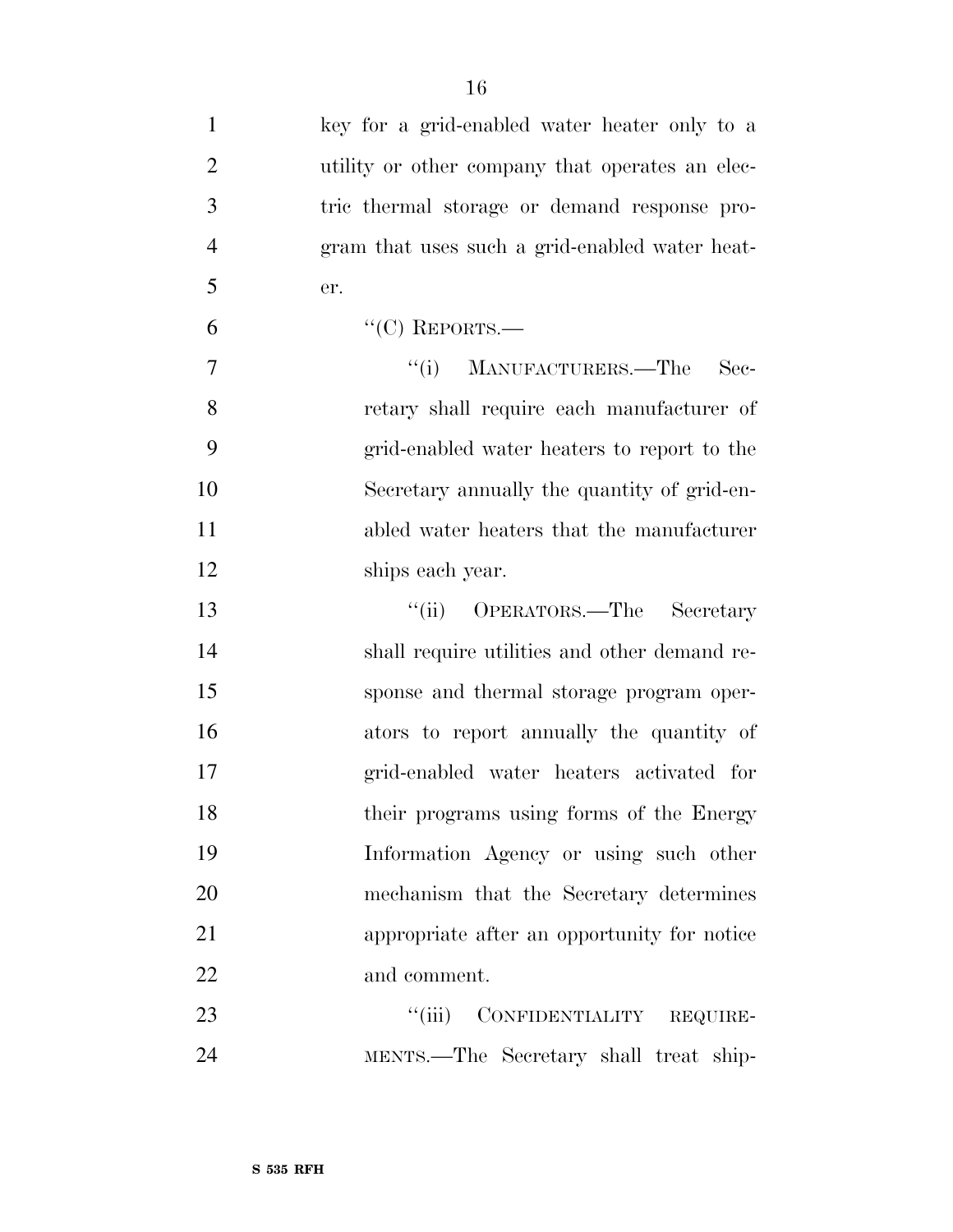| $\mathbf{1}$   | key for a grid-enabled water heater only to a   |
|----------------|-------------------------------------------------|
| $\overline{2}$ | utility or other company that operates an elec- |
| 3              | tric thermal storage or demand response pro-    |
| $\overline{4}$ | gram that uses such a grid-enabled water heat-  |
| 5              | er.                                             |
| 6              | "(C) REPORTS.-                                  |
| $\tau$         | "(i) MANUFACTURERS.—The<br>$\rm Sec-$           |
| 8              | retary shall require each manufacturer of       |
| 9              | grid-enabled water heaters to report to the     |
| 10             | Secretary annually the quantity of grid-en-     |
| 11             | abled water heaters that the manufacturer       |
| 12             | ships each year.                                |
| 13             | "(ii) OPERATORS.—The Secretary                  |
| 14             | shall require utilities and other demand re-    |
| 15             | sponse and thermal storage program oper-        |
| 16             | ators to report annually the quantity of        |
| 17             | grid-enabled water heaters activated for        |
| 18             | their programs using forms of the Energy        |
| 19             | Information Agency or using such other          |
| 20             | mechanism that the Secretary determines         |
| 21             | appropriate after an opportunity for notice     |
| 22             | and comment.                                    |
| 23             | ``(iii)<br>CONFIDENTIALITY REQUIRE-             |
| 24             | MENTS.—The Secretary shall treat ship-          |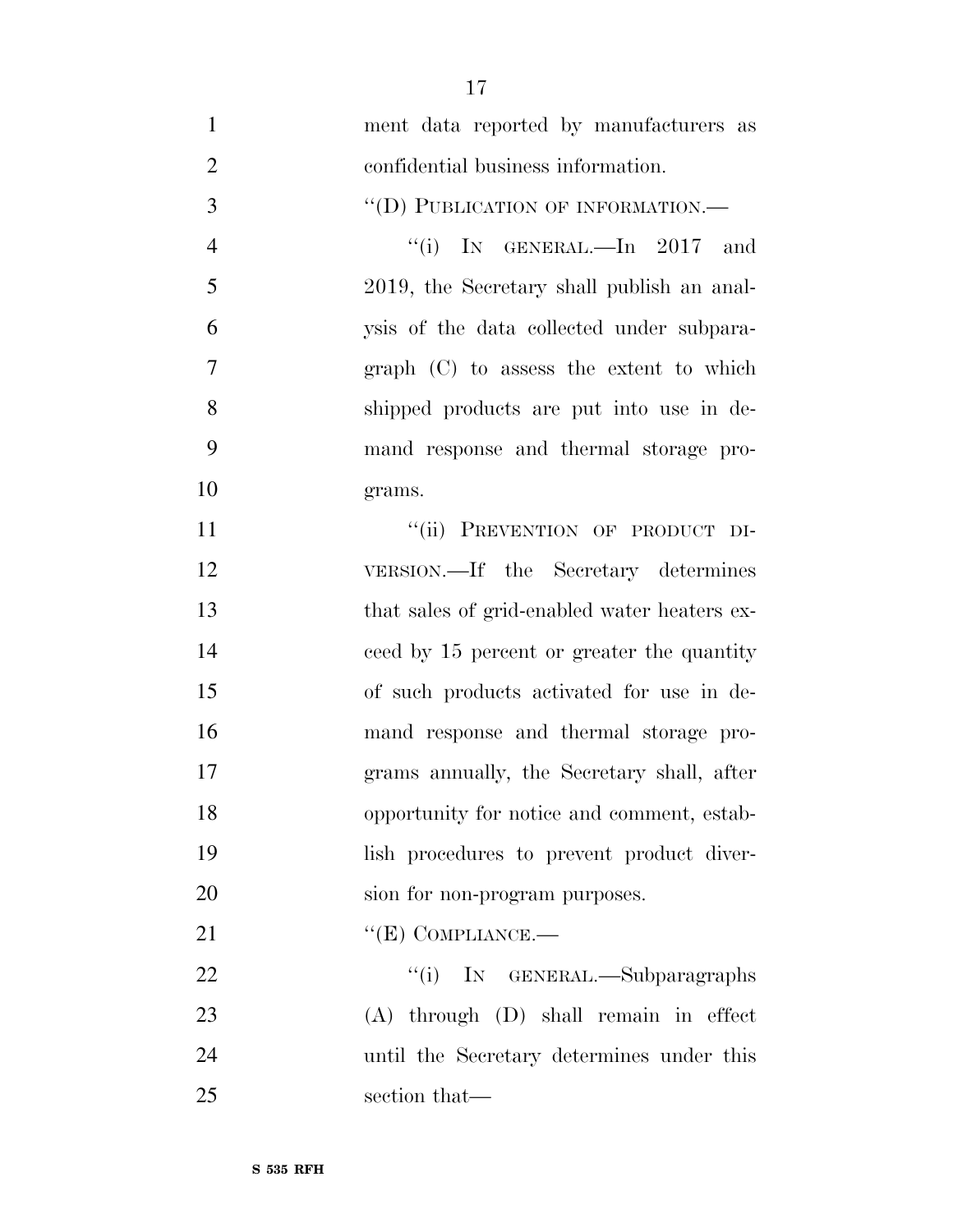- ment data reported by manufacturers as confidential business information. 3 "(D) PUBLICATION OF INFORMATION.— 4 "(i) IN GENERAL.—In 2017 and 2019, the Secretary shall publish an anal- ysis of the data collected under subpara- graph (C) to assess the extent to which shipped products are put into use in de- mand response and thermal storage pro- grams. 11 ""(ii) PREVENTION OF PRODUCT DI- VERSION.—If the Secretary determines that sales of grid-enabled water heaters ex- ceed by 15 percent or greater the quantity of such products activated for use in de- mand response and thermal storage pro- grams annually, the Secretary shall, after opportunity for notice and comment, estab- lish procedures to prevent product diver- sion for non-program purposes. 21 "'(E) COMPLIANCE.— 22 "(i) IN GENERAL.—Subparagraphs (A) through (D) shall remain in effect until the Secretary determines under this
- section that—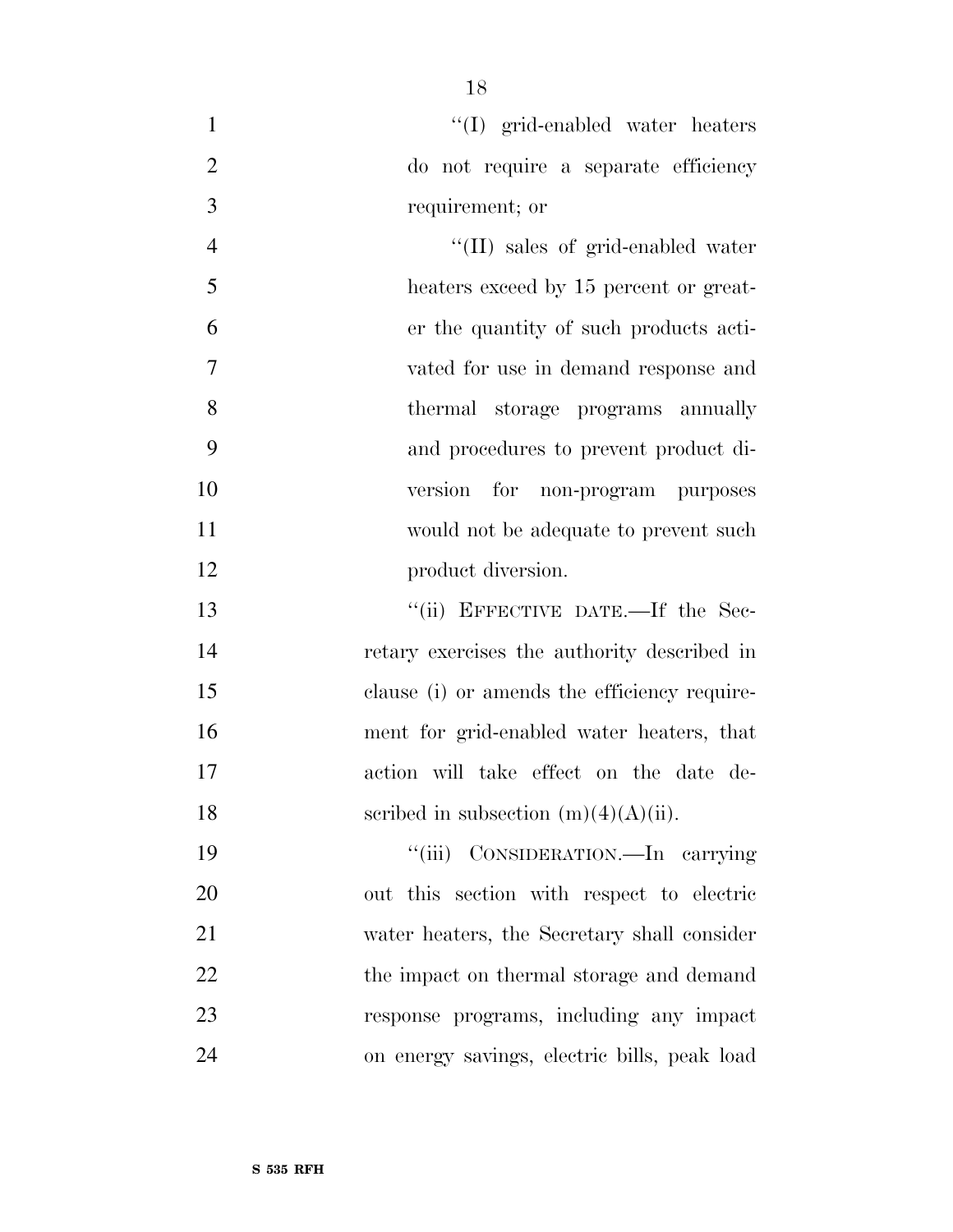| $\mathbf{1}$   | "(I) grid-enabled water heaters              |
|----------------|----------------------------------------------|
| $\overline{2}$ | do not require a separate efficiency         |
| 3              | requirement; or                              |
| $\overline{4}$ | $\lq\lq$ (II) sales of grid-enabled water    |
| 5              | heaters exceed by 15 percent or great-       |
| 6              | er the quantity of such products acti-       |
| 7              | vated for use in demand response and         |
| 8              | thermal storage programs annually            |
| 9              | and procedures to prevent product di-        |
| 10             | version<br>for non-program purposes          |
| 11             | would not be adequate to prevent such        |
| 12             | product diversion.                           |
| 13             | "(ii) EFFECTIVE DATE.—If the Sec-            |
| 14             | retary exercises the authority described in  |
| 15             | clause (i) or amends the efficiency require- |
| 16             | ment for grid-enabled water heaters, that    |
| 17             | action will take effect on the date de-      |
| 18             | scribed in subsection $(m)(4)(A)(ii)$ .      |
| 19             | ``(iii)<br>CONSIDERATION.—In carrying        |
| 20             | out this section with respect to electric    |
| 21             | water heaters, the Secretary shall consider  |
| 22             | the impact on thermal storage and demand     |
| 23             | response programs, including any impact      |
| 24             | on energy savings, electric bills, peak load |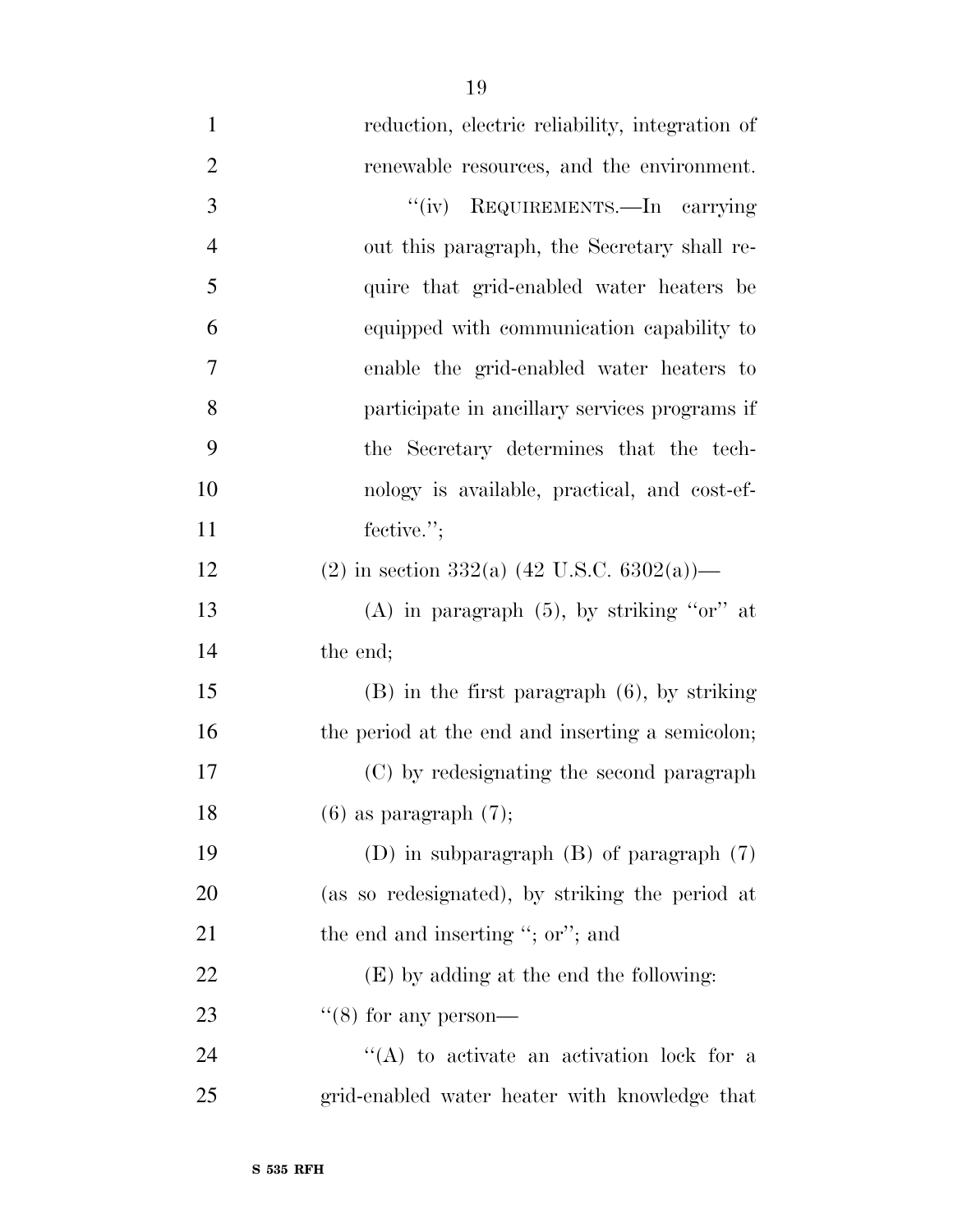reduction, electric reliability, integration of 2 renewable resources, and the environment. 3 "(iv) REQUIREMENTS.—In carrying out this paragraph, the Secretary shall re- quire that grid-enabled water heaters be equipped with communication capability to enable the grid-enabled water heaters to participate in ancillary services programs if the Secretary determines that the tech- nology is available, practical, and cost-ef-11 fective."; 12 (2) in section 332(a) (42 U.S.C. 6302(a))— 13 (A) in paragraph  $(5)$ , by striking "or" at the end; (B) in the first paragraph (6), by striking 16 the period at the end and inserting a semicolon; (C) by redesignating the second paragraph 18 (6) as paragraph  $(7)$ ; (D) in subparagraph (B) of paragraph (7) (as so redesignated), by striking the period at 21 the end and inserting "; or"; and (E) by adding at the end the following:  $\frac{1}{2}$  (8) for any person-24 ''(A) to activate an activation lock for a grid-enabled water heater with knowledge that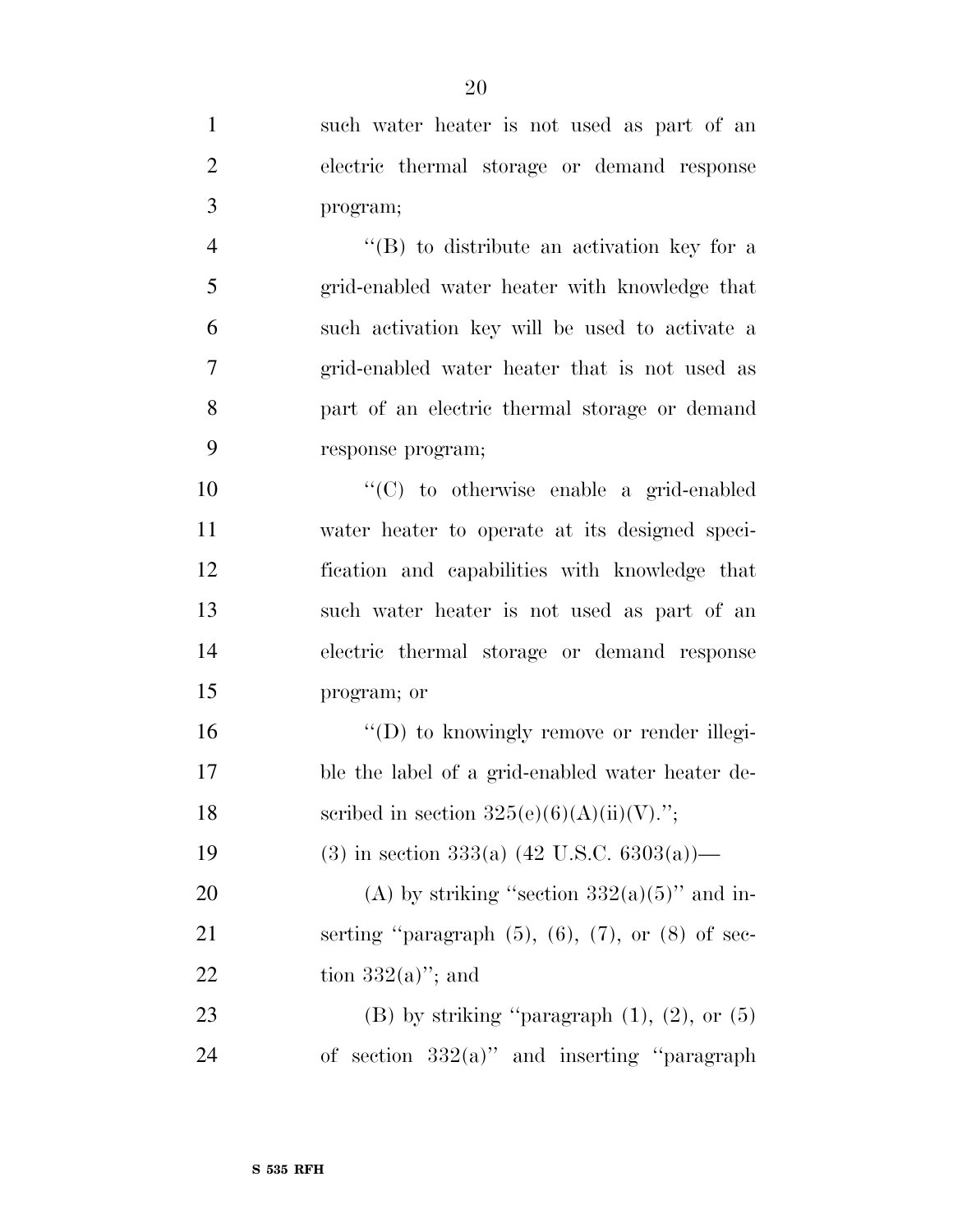| $\mathbf{1}$   | such water heater is not used as part of an                 |
|----------------|-------------------------------------------------------------|
| $\overline{2}$ | electric thermal storage or demand response                 |
| 3              | program;                                                    |
| $\overline{4}$ | $\lq\lq (B)$ to distribute an activation key for a          |
| 5              | grid-enabled water heater with knowledge that               |
| 6              | such activation key will be used to activate a              |
| $\tau$         | grid-enabled water heater that is not used as               |
| 8              | part of an electric thermal storage or demand               |
| 9              | response program;                                           |
| 10             | $\cdot$ (C) to otherwise enable a grid-enabled              |
| 11             | water heater to operate at its designed speci-              |
| 12             | fication and capabilities with knowledge that               |
| 13             | such water heater is not used as part of an                 |
| 14             | electric thermal storage or demand response                 |
| 15             | program; or                                                 |
| 16             | "(D) to knowingly remove or render illegi-                  |
| 17             | ble the label of a grid-enabled water heater de-            |
| 18             | scribed in section $325(e)(6)(A)(ii)(V)$ .";                |
| 19             | (3) in section 333(a) $(42 \text{ U.S.C. } 6303(a))$ —      |
| 20             | (A) by striking "section $332(a)(5)$ " and in-              |
| 21             | serting "paragraph $(5)$ , $(6)$ , $(7)$ , or $(8)$ of sec- |
| 22             | tion $332(a)$ "; and                                        |
| 23             | (B) by striking "paragraph $(1)$ , $(2)$ , or $(5)$         |
| 24             | of section $332(a)$ " and inserting "paragraph"             |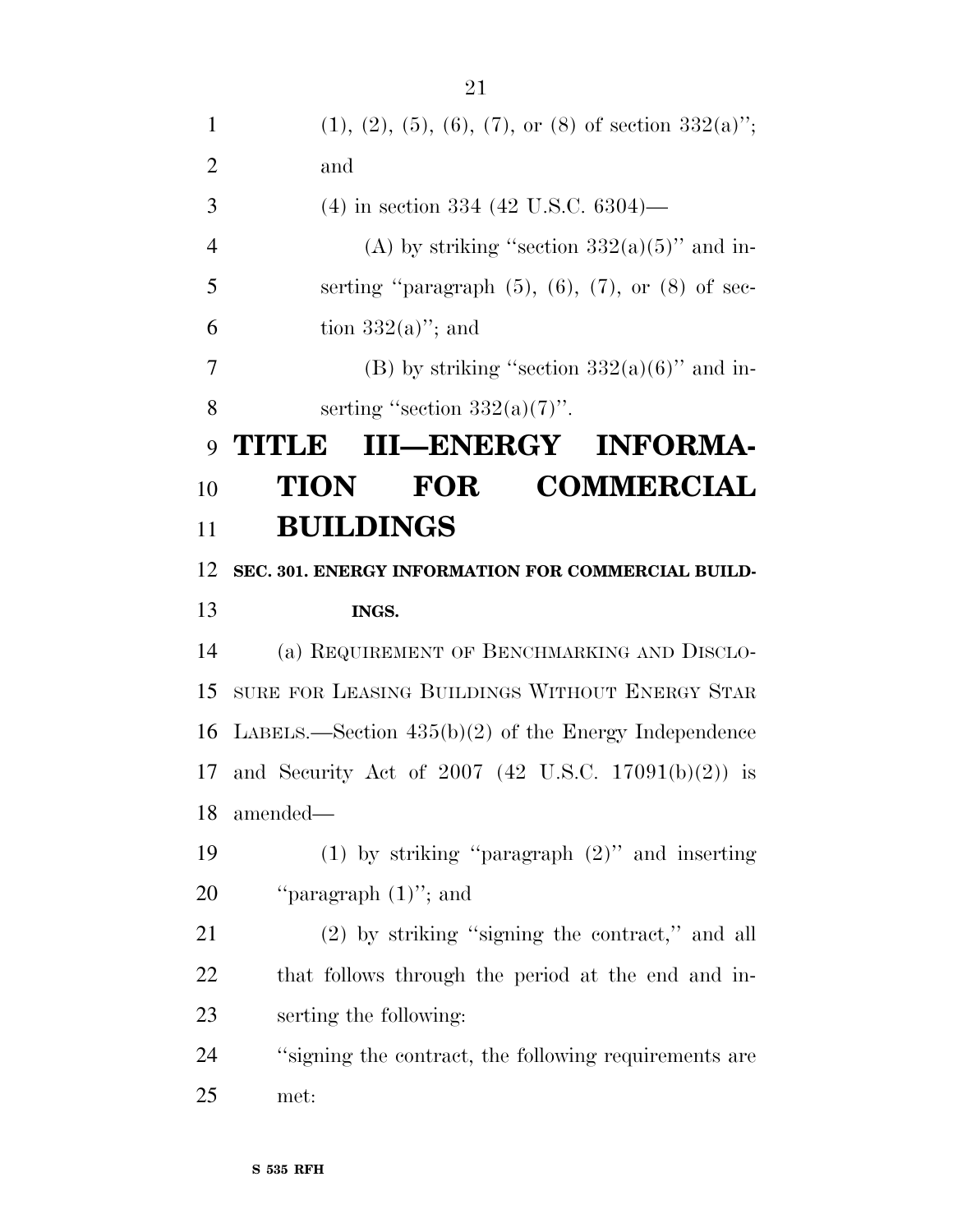1 (1), (2), (5), (6), (7), or (8) of section  $332(a)$ "; and (4) in section 334 (42 U.S.C. 6304)— 4 (A) by striking "section  $332(a)(5)$ " and in-5 serting "paragraph  $(5)$ ,  $(6)$ ,  $(7)$ , or  $(8)$  of sec-6 tion  $332(a)$ "; and 7 (B) by striking "section  $332(a)(6)$ " and in-8 serting "section  $332(a)(7)$ ". **TITLE III—ENERGY INFORMA- TION FOR COMMERCIAL BUILDINGS SEC. 301. ENERGY INFORMATION FOR COMMERCIAL BUILD- INGS.**  (a) REQUIREMENT OF BENCHMARKING AND DISCLO- SURE FOR LEASING BUILDINGS WITHOUT ENERGY STAR LABELS.—Section 435(b)(2) of the Energy Independence and Security Act of 2007 (42 U.S.C. 17091(b)(2)) is amended— (1) by striking ''paragraph (2)'' and inserting 20 "paragraph  $(1)$ "; and (2) by striking ''signing the contract,'' and all that follows through the period at the end and in- serting the following: ''signing the contract, the following requirements are met: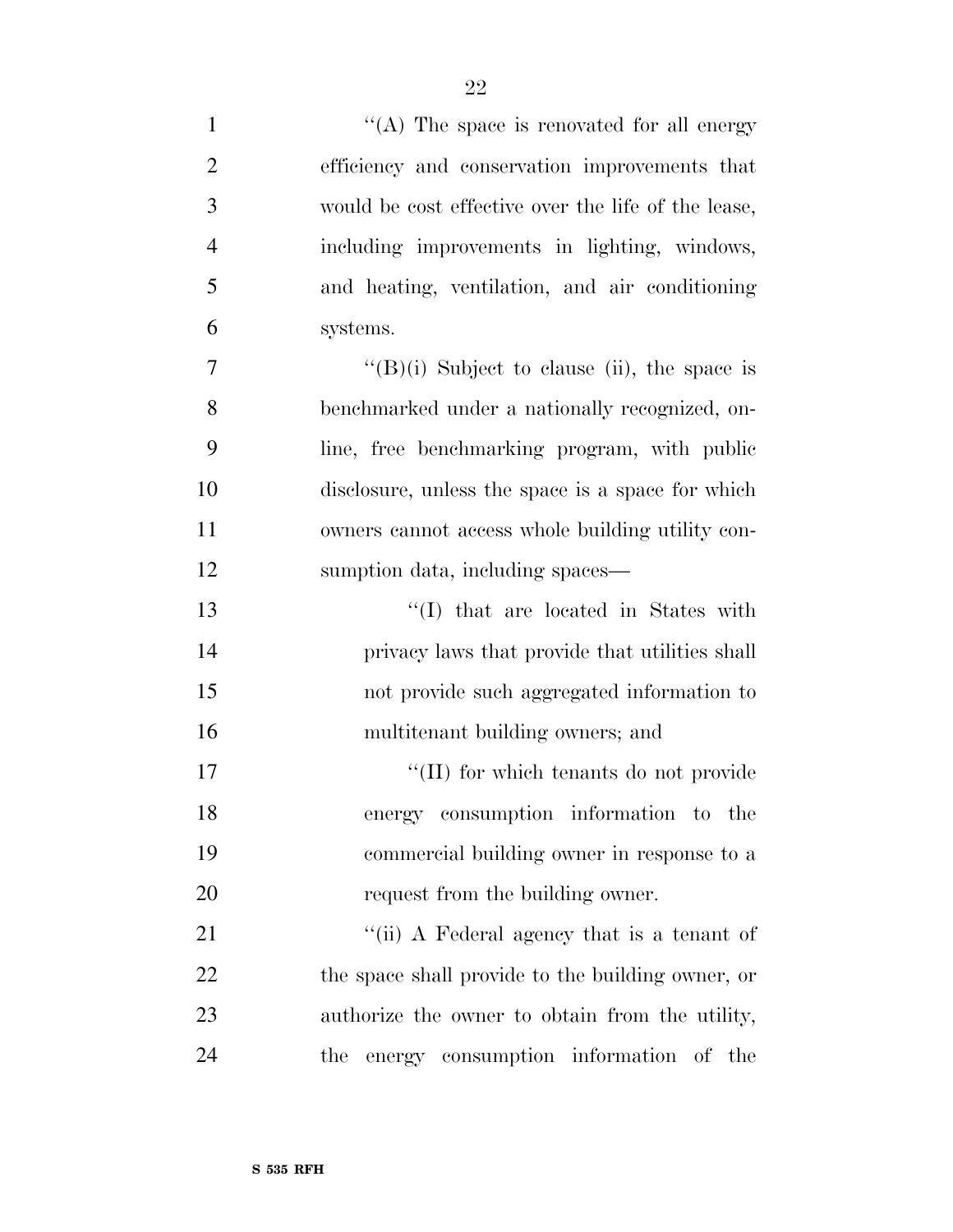| $\mathbf{1}$   | "(A) The space is renovated for all energy          |
|----------------|-----------------------------------------------------|
| $\overline{2}$ | efficiency and conservation improvements that       |
| 3              | would be cost effective over the life of the lease, |
| $\overline{4}$ | including improvements in lighting, windows,        |
| 5              | and heating, ventilation, and air conditioning      |
| 6              | systems.                                            |
| 7              | " $(B)(i)$ Subject to clause (ii), the space is     |
| 8              | benchmarked under a nationally recognized, on-      |
| 9              | line, free benchmarking program, with public        |
| 10             | disclosure, unless the space is a space for which   |
| 11             | owners cannot access whole building utility con-    |
| 12             | sumption data, including spaces—                    |
| 13             | "(I) that are located in States with                |
| 14             | privacy laws that provide that utilities shall      |
| 15             | not provide such aggregated information to          |
| 16             | multitenant building owners; and                    |
| 17             | "(II) for which tenants do not provide              |
| 18             | energy consumption information to the               |
| 19             | commercial building owner in response to a          |
| 20             | request from the building owner.                    |
| 21             | "(ii) A Federal agency that is a tenant of          |
| 22             | the space shall provide to the building owner, or   |
| 23             | authorize the owner to obtain from the utility,     |
| 24             | energy consumption information of the<br>the        |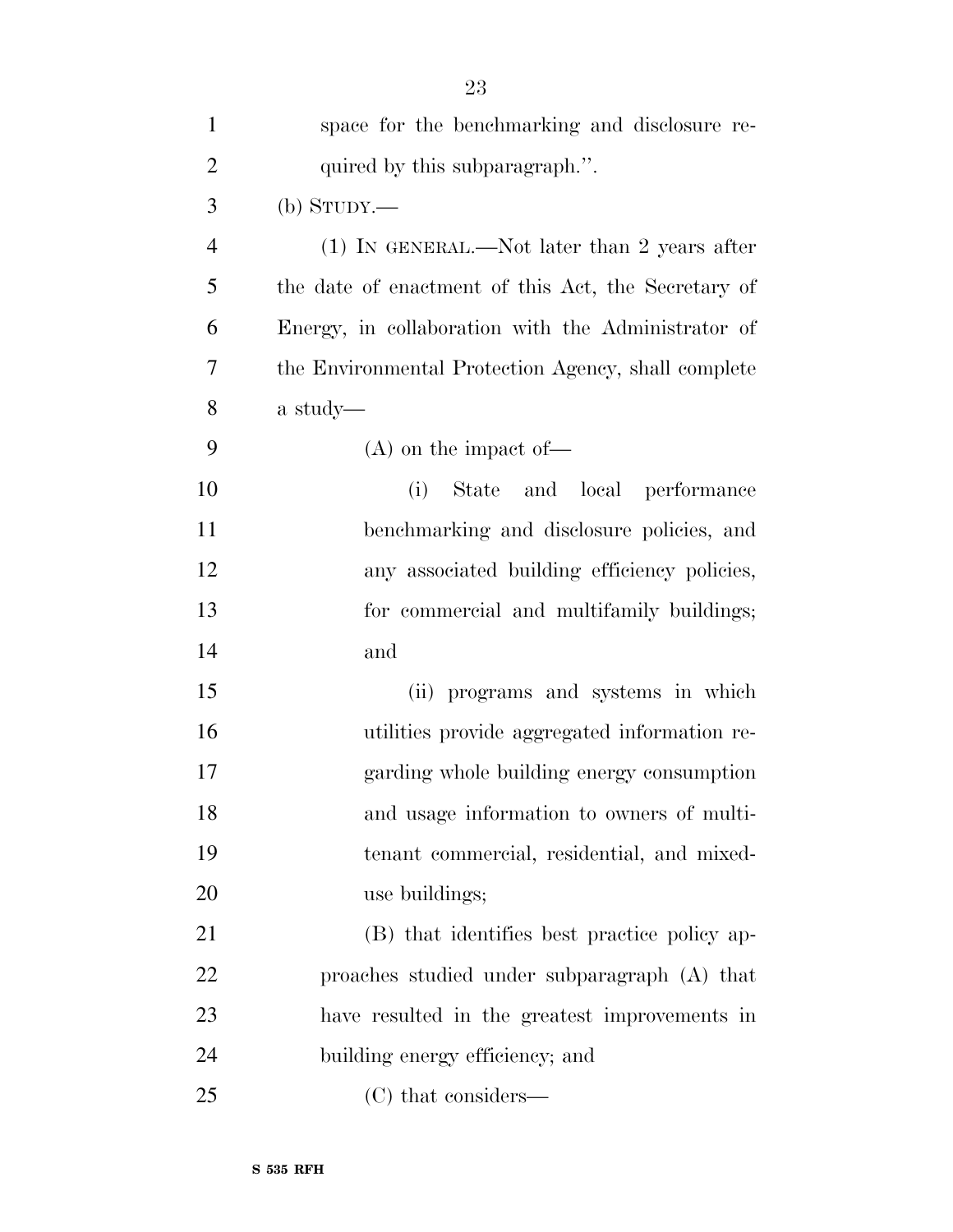|                | 23                                                  |
|----------------|-----------------------------------------------------|
| $\mathbf{1}$   | space for the benchmarking and disclosure re-       |
| $\overline{2}$ | quired by this subparagraph.".                      |
| 3              | $(b)$ STUDY.—                                       |
| $\overline{4}$ | $(1)$ In GENERAL.—Not later than 2 years after      |
| 5              | the date of enactment of this Act, the Secretary of |
| 6              | Energy, in collaboration with the Administrator of  |
| 7              | the Environmental Protection Agency, shall complete |
| 8              | a study—                                            |
| 9              | $(A)$ on the impact of —                            |
| 10             | State and local performance<br>(i)                  |
| 11             | benchmarking and disclosure policies, and           |
| 12             | any associated building efficiency policies,        |
| 13             | for commercial and multifamily buildings;           |
| 14             | and                                                 |
| 15             | (ii) programs and systems in which                  |
| 16             | utilities provide aggregated information re-        |
| 17             | garding whole building energy consumption           |
| 18             | and usage information to owners of multi-           |
| 19             | tenant commercial, residential, and mixed-          |
| 20             | use buildings;                                      |
| 21             | (B) that identifies best practice policy ap-        |
| 22             | proaches studied under subparagraph (A) that        |
| 23             | have resulted in the greatest improvements in       |
| 24             | building energy efficiency; and                     |
| 25             | (C) that considers—                                 |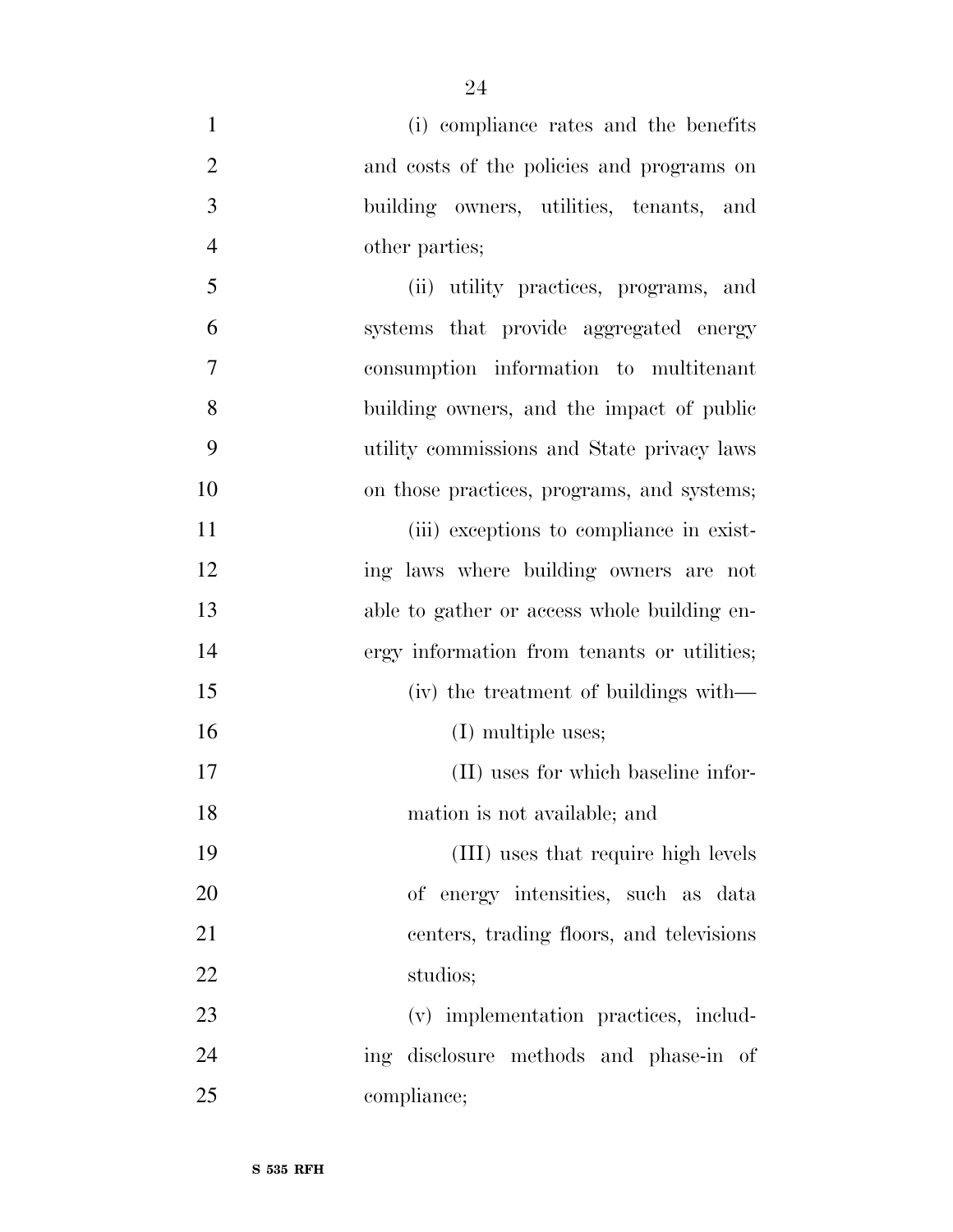(i) compliance rates and the benefits and costs of the policies and programs on building owners, utilities, tenants, and other parties; (ii) utility practices, programs, and systems that provide aggregated energy consumption information to multitenant building owners, and the impact of public utility commissions and State privacy laws on those practices, programs, and systems; 11 (iii) exceptions to compliance in exist- ing laws where building owners are not able to gather or access whole building en- ergy information from tenants or utilities; (iv) the treatment of buildings with— 16 (I) multiple uses; (II) uses for which baseline infor- mation is not available; and (III) uses that require high levels of energy intensities, such as data centers, trading floors, and televisions studios; (v) implementation practices, includ- ing disclosure methods and phase-in of compliance;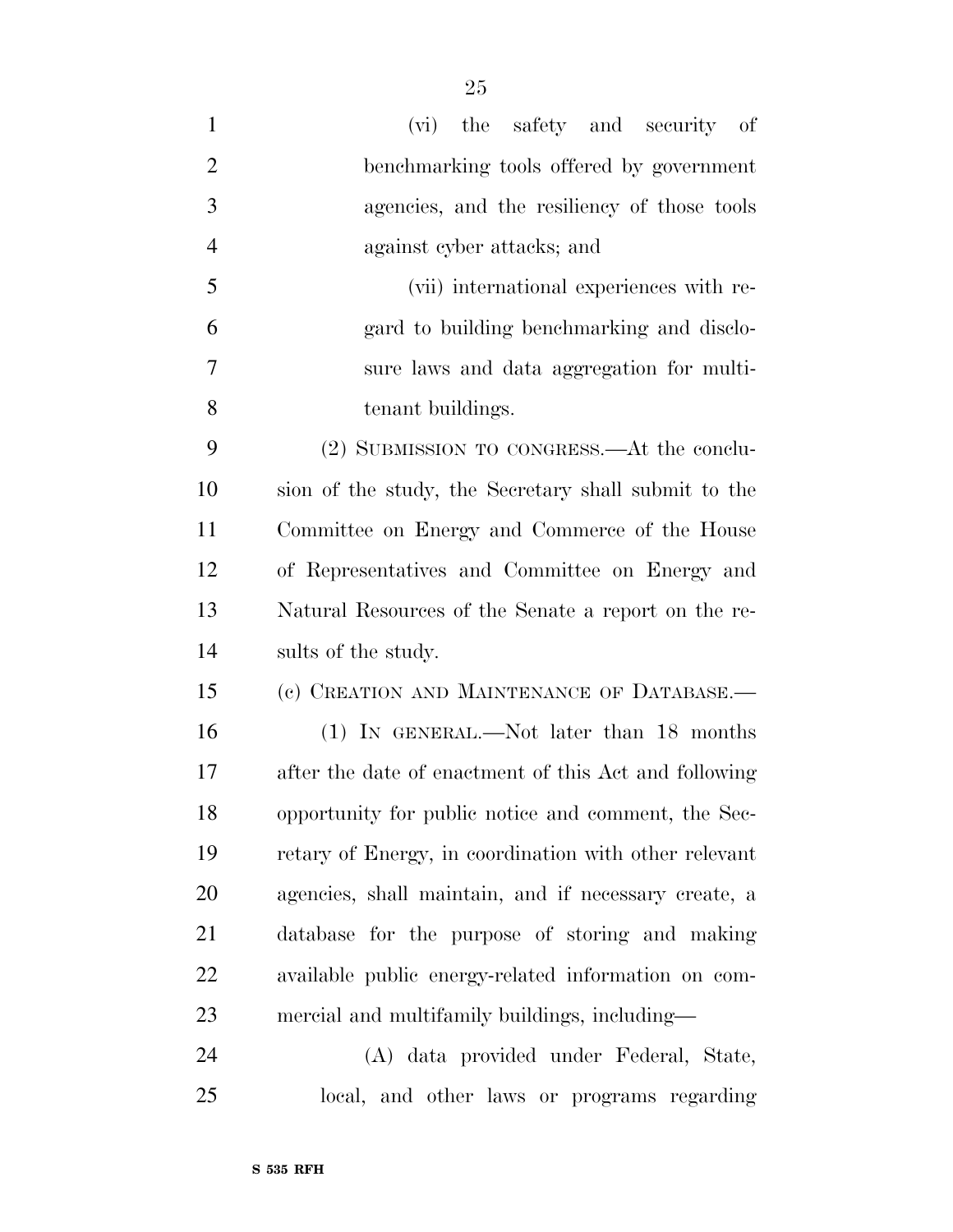| $\mathbf{1}$   | the safety and security of<br>(vi)                    |
|----------------|-------------------------------------------------------|
| $\overline{2}$ | benchmarking tools offered by government              |
| 3              | agencies, and the resiliency of those tools           |
| $\overline{4}$ | against cyber attacks; and                            |
| 5              | (vii) international experiences with re-              |
| 6              | gard to building benchmarking and disclo-             |
| 7              | sure laws and data aggregation for multi-             |
| 8              | tenant buildings.                                     |
| 9              | (2) SUBMISSION TO CONGRESS.—At the conclu-            |
| 10             | sion of the study, the Secretary shall submit to the  |
| 11             | Committee on Energy and Commerce of the House         |
| 12             | of Representatives and Committee on Energy and        |
| 13             | Natural Resources of the Senate a report on the re-   |
| 14             | sults of the study.                                   |
| 15             | (c) CREATION AND MAINTENANCE OF DATABASE.-            |
| 16             | (1) IN GENERAL.—Not later than 18 months              |
| 17             | after the date of enactment of this Act and following |
| 18             | opportunity for public notice and comment, the Sec-   |
| 19             | retary of Energy, in coordination with other relevant |
| 20             | agencies, shall maintain, and if necessary create, a  |
| 21             | database for the purpose of storing and making        |
| 22             | available public energy-related information on com-   |
| 23             | mercial and multifamily buildings, including—         |
| 24             | (A) data provided under Federal, State,               |

local, and other laws or programs regarding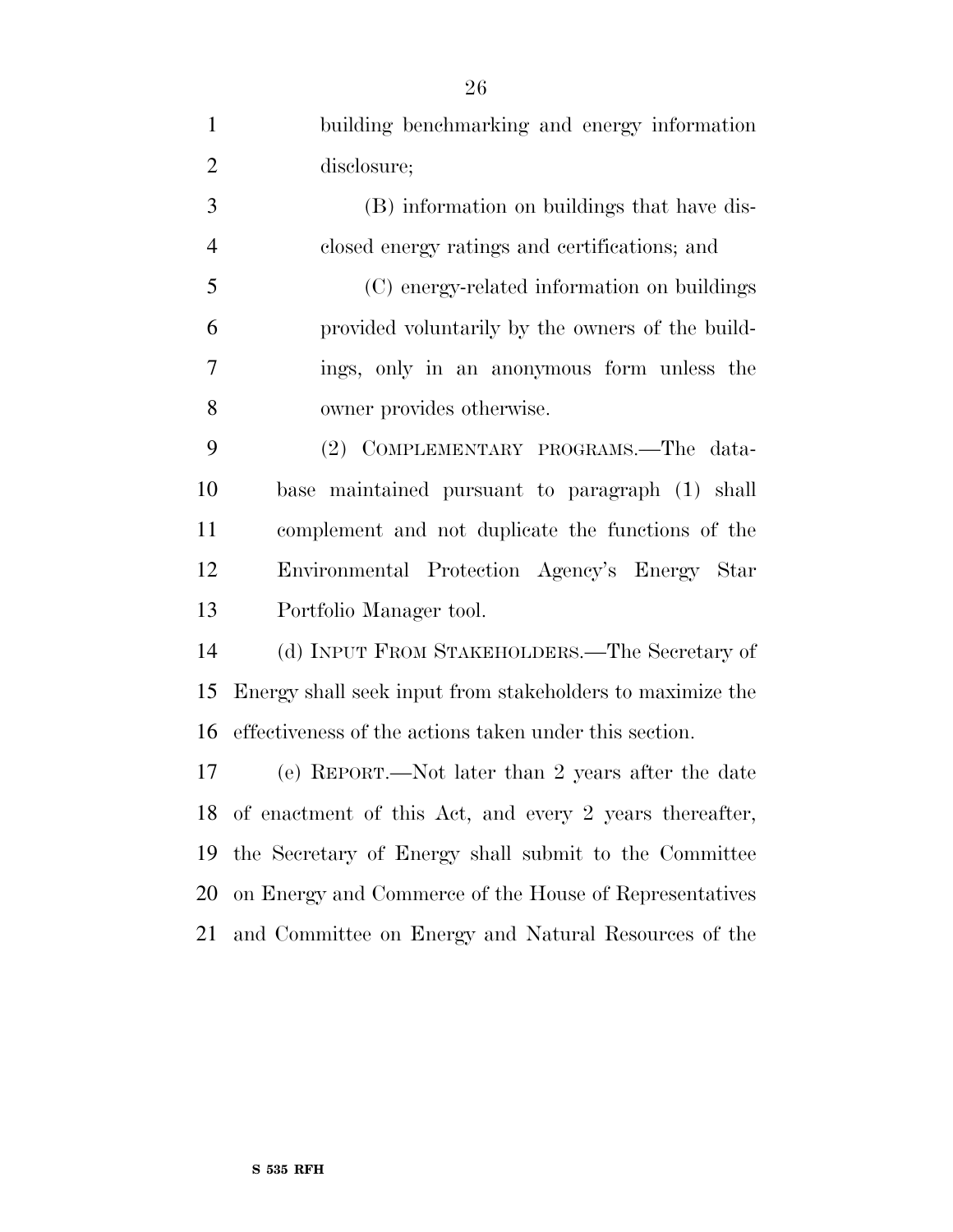building benchmarking and energy information disclosure; (B) information on buildings that have dis- closed energy ratings and certifications; and (C) energy-related information on buildings provided voluntarily by the owners of the build- ings, only in an anonymous form unless the owner provides otherwise. (2) COMPLEMENTARY PROGRAMS.—The data- base maintained pursuant to paragraph (1) shall complement and not duplicate the functions of the Environmental Protection Agency's Energy Star Portfolio Manager tool. (d) INPUT FROM STAKEHOLDERS.—The Secretary of Energy shall seek input from stakeholders to maximize the effectiveness of the actions taken under this section. (e) REPORT.—Not later than 2 years after the date of enactment of this Act, and every 2 years thereafter, the Secretary of Energy shall submit to the Committee on Energy and Commerce of the House of Representatives and Committee on Energy and Natural Resources of the